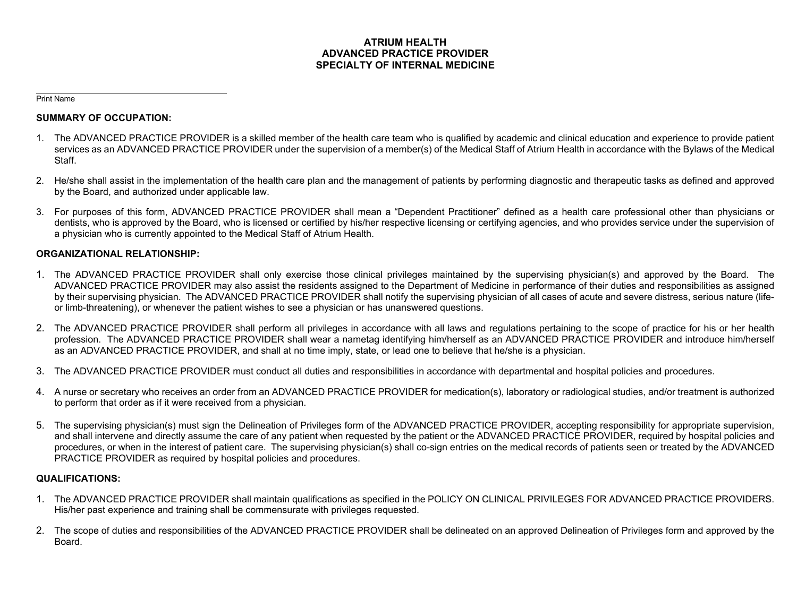## **ATRIUM HEALTH ADVANCED PRACTICE PROVIDER SPECIALTY OF INTERNAL MEDICINE**

Print Name

## **SUMMARY OF OCCUPATION:**

- 1. The ADVANCED PRACTICE PROVIDER is a skilled member of the health care team who is qualified by academic and clinical education and experience to provide patient services as an ADVANCED PRACTICE PROVIDER under the supervision of a member(s) of the Medical Staff of Atrium Health in accordance with the Bylaws of the Medical Staff.
- 2. He/she shall assist in the implementation of the health care plan and the management of patients by performing diagnostic and therapeutic tasks as defined and approved by the Board, and authorized under applicable law.
- 3. For purposes of this form, ADVANCED PRACTICE PROVIDER shall mean a "Dependent Practitioner" defined as a health care professional other than physicians or dentists, who is approved by the Board, who is licensed or certified by his/her respective licensing or certifying agencies, and who provides service under the supervision of a physician who is currently appointed to the Medical Staff of Atrium Health.

# **ORGANIZATIONAL RELATIONSHIP:**

- 1. The ADVANCED PRACTICE PROVIDER shall only exercise those clinical privileges maintained by the supervising physician(s) and approved by the Board. The ADVANCED PRACTICE PROVIDER may also assist the residents assigned to the Department of Medicine in performance of their duties and responsibilities as assigned by their supervising physician. The ADVANCED PRACTICE PROVIDER shall notify the supervising physician of all cases of acute and severe distress, serious nature (lifeor limb-threatening), or whenever the patient wishes to see a physician or has unanswered questions.
- 2. The ADVANCED PRACTICE PROVIDER shall perform all privileges in accordance with all laws and regulations pertaining to the scope of practice for his or her health profession. The ADVANCED PRACTICE PROVIDER shall wear a nametag identifying him/herself as an ADVANCED PRACTICE PROVIDER and introduce him/herself as an ADVANCED PRACTICE PROVIDER, and shall at no time imply, state, or lead one to believe that he/she is a physician.
- 3. The ADVANCED PRACTICE PROVIDER must conduct all duties and responsibilities in accordance with departmental and hospital policies and procedures.
- 4. A nurse or secretary who receives an order from an ADVANCED PRACTICE PROVIDER for medication(s), laboratory or radiological studies, and/or treatment is authorized to perform that order as if it were received from a physician.
- 5. The supervising physician(s) must sign the Delineation of Privileges form of the ADVANCED PRACTICE PROVIDER, accepting responsibility for appropriate supervision, and shall intervene and directly assume the care of any patient when requested by the patient or the ADVANCED PRACTICE PROVIDER, required by hospital policies and procedures, or when in the interest of patient care. The supervising physician(s) shall co-sign entries on the medical records of patients seen or treated by the ADVANCED PRACTICE PROVIDER as required by hospital policies and procedures.

# **QUALIFICATIONS:**

- 1. The ADVANCED PRACTICE PROVIDER shall maintain qualifications as specified in the POLICY ON CLINICAL PRIVILEGES FOR ADVANCED PRACTICE PROVIDERS. His/her past experience and training shall be commensurate with privileges requested.
- 2. The scope of duties and responsibilities of the ADVANCED PRACTICE PROVIDER shall be delineated on an approved Delineation of Privileges form and approved by the Board.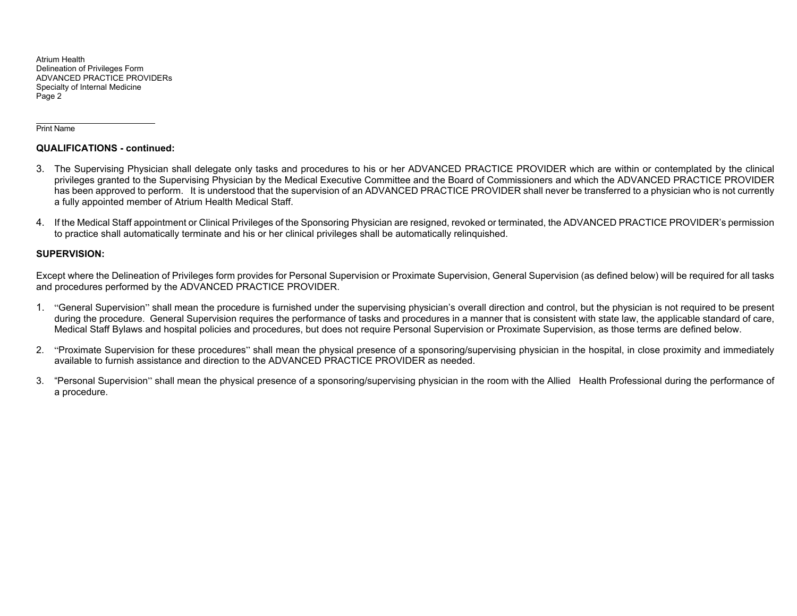#### Print Name

### **QUALIFICATIONS - continued:**

- 3. The Supervising Physician shall delegate only tasks and procedures to his or her ADVANCED PRACTICE PROVIDER which are within or contemplated by the clinical privileges granted to the Supervising Physician by the Medical Executive Committee and the Board of Commissioners and which the ADVANCED PRACTICE PROVIDER has been approved to perform. It is understood that the supervision of an ADVANCED PRACTICE PROVIDER shall never be transferred to a physician who is not currently a fully appointed member of Atrium Health Medical Staff.
- 4. If the Medical Staff appointment or Clinical Privileges of the Sponsoring Physician are resigned, revoked or terminated, the ADVANCED PRACTICE PROVIDER's permission to practice shall automatically terminate and his or her clinical privileges shall be automatically relinquished.

## **SUPERVISION:**

Except where the Delineation of Privileges form provides for Personal Supervision or Proximate Supervision, General Supervision (as defined below) will be required for all tasks and procedures performed by the ADVANCED PRACTICE PROVIDER.

- 1. "General Supervision" shall mean the procedure is furnished under the supervising physician's overall direction and control, but the physician is not required to be present during the procedure. General Supervision requires the performance of tasks and procedures in a manner that is consistent with state law, the applicable standard of care, Medical Staff Bylaws and hospital policies and procedures, but does not require Personal Supervision or Proximate Supervision, as those terms are defined below.
- 2. "Proximate Supervision for these procedures" shall mean the physical presence of a sponsoring/supervising physician in the hospital, in close proximity and immediately available to furnish assistance and direction to the ADVANCED PRACTICE PROVIDER as needed.
- 3. "Personal Supervision" shall mean the physical presence of a sponsoring/supervising physician in the room with the Allied Health Professional during the performance of a procedure.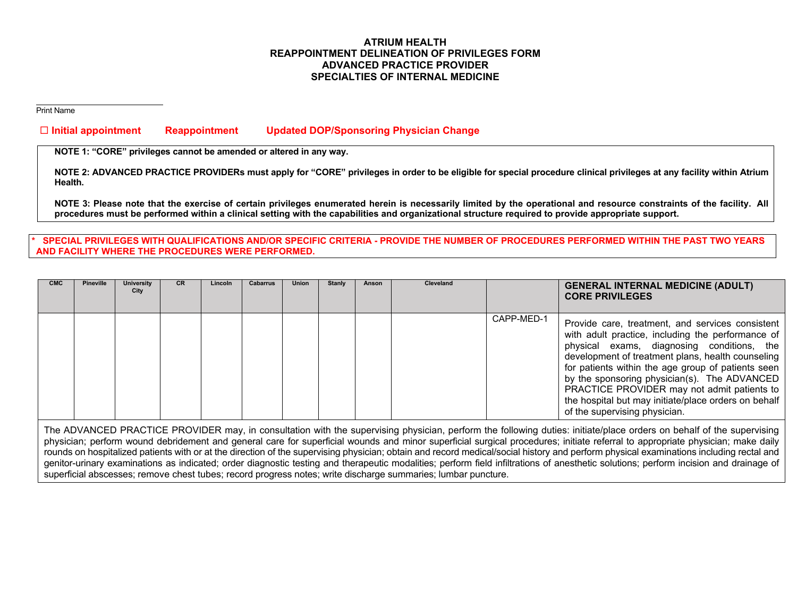## **ATRIUM HEALTH REAPPOINTMENT DELINEATION OF PRIVILEGES FORM ADVANCED PRACTICE PROVIDER SPECIALTIES OF INTERNAL MEDICINE**

Print Name

## **Initial appointment Reappointment Updated DOP/Sponsoring Physician Change**

**NOTE 1: "CORE" privileges cannot be amended or altered in any way.** 

**NOTE 2: ADVANCED PRACTICE PROVIDERs must apply for "CORE" privileges in order to be eligible for special procedure clinical privileges at any facility within Atrium Health.** 

**NOTE 3: Please note that the exercise of certain privileges enumerated herein is necessarily limited by the operational and resource constraints of the facility. All procedures must be performed within a clinical setting with the capabilities and organizational structure required to provide appropriate support.** 

### SPECIAL PRIVILEGES WITH QUALIFICATIONS AND/OR SPECIFIC CRITERIA - PROVIDE THE NUMBER OF PROCEDURES PERFORMED WITHIN THE PAST TWO YEARS **AND FACILITY WHERE THE PROCEDURES WERE PERFORMED.**

| <b>CMC</b> | <b>Pineville</b> | University<br>City | <b>CR</b> | Lincoln | <b>Cabarrus</b> | Union | Stanly | Anson | <b>Cleveland</b> |            | <b>GENERAL INTERNAL MEDICINE (ADULT)</b><br><b>CORE PRIVILEGES</b>                                                                                                                                                                                                                                                                                                                                                                                     |
|------------|------------------|--------------------|-----------|---------|-----------------|-------|--------|-------|------------------|------------|--------------------------------------------------------------------------------------------------------------------------------------------------------------------------------------------------------------------------------------------------------------------------------------------------------------------------------------------------------------------------------------------------------------------------------------------------------|
|            |                  |                    |           |         |                 |       |        |       |                  | CAPP-MED-1 | Provide care, treatment, and services consistent<br>with adult practice, including the performance of<br>physical exams, diagnosing conditions, the<br>development of treatment plans, health counseling<br>for patients within the age group of patients seen<br>by the sponsoring physician(s). The ADVANCED<br>PRACTICE PROVIDER may not admit patients to<br>the hospital but may initiate/place orders on behalf<br>of the supervising physician. |

The ADVANCED PRACTICE PROVIDER may, in consultation with the supervising physician, perform the following duties: initiate/place orders on behalf of the supervising physician; perform wound debridement and general care for superficial wounds and minor superficial surgical procedures; initiate referral to appropriate physician; make daily rounds on hospitalized patients with or at the direction of the supervising physician; obtain and record medical/social history and perform physical examinations including rectal and genitor-urinary examinations as indicated; order diagnostic testing and therapeutic modalities; perform field infiltrations of anesthetic solutions; perform incision and drainage of superficial abscesses; remove chest tubes; record progress notes; write discharge summaries; lumbar puncture.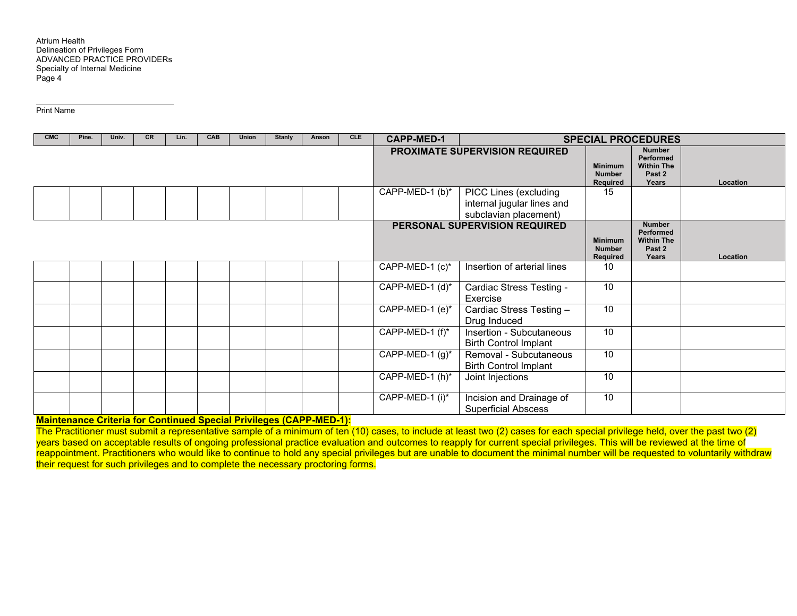Print Name

| <b>CMC</b> | Pine. | Univ. | <b>CR</b> | Lin. | CAB | Union | <b>Stanly</b> | Anson | <b>CLE</b> | <b>CAPP-MED-1</b>  |                                                                              |                                             | <b>SPECIAL PROCEDURES</b>                                                     |          |
|------------|-------|-------|-----------|------|-----|-------|---------------|-------|------------|--------------------|------------------------------------------------------------------------------|---------------------------------------------|-------------------------------------------------------------------------------|----------|
|            |       |       |           |      |     |       |               |       |            |                    | PROXIMATE SUPERVISION REQUIRED                                               | <b>Minimum</b><br><b>Number</b><br>Required | <b>Number</b><br>Performed<br><b>Within The</b><br>Past <sub>2</sub><br>Years | Location |
|            |       |       |           |      |     |       |               |       |            | CAPP-MED-1 (b)*    | PICC Lines (excluding<br>internal jugular lines and<br>subclavian placement) | 15                                          |                                                                               |          |
|            |       |       |           |      |     |       |               |       |            |                    | PERSONAL SUPERVISION REQUIRED                                                | <b>Minimum</b><br><b>Number</b><br>Required | <b>Number</b><br>Performed<br><b>Within The</b><br>Past 2<br>Years            | Location |
|            |       |       |           |      |     |       |               |       |            | CAPP-MED-1 (c)*    | Insertion of arterial lines                                                  | 10                                          |                                                                               |          |
|            |       |       |           |      |     |       |               |       |            | CAPP-MED-1 (d)*    | Cardiac Stress Testing -<br>Exercise                                         | 10                                          |                                                                               |          |
|            |       |       |           |      |     |       |               |       |            | CAPP-MED-1 (e)*    | Cardiac Stress Testing -<br>Drug Induced                                     | 10                                          |                                                                               |          |
|            |       |       |           |      |     |       |               |       |            | CAPP-MED-1 (f)*    | Insertion - Subcutaneous<br><b>Birth Control Implant</b>                     | 10                                          |                                                                               |          |
|            |       |       |           |      |     |       |               |       |            | CAPP-MED-1 $(g)^*$ | Removal - Subcutaneous<br><b>Birth Control Implant</b>                       | 10                                          |                                                                               |          |
|            |       |       |           |      |     |       |               |       |            | CAPP-MED-1 (h)*    | Joint Injections                                                             | 10                                          |                                                                               |          |
|            |       |       |           |      |     |       |               |       |            | CAPP-MED-1 (i)*    | Incision and Drainage of<br><b>Superficial Abscess</b>                       | 10                                          |                                                                               |          |

**Maintenance Criteria for Continued Special Privileges (CAPP-MED-1):** 

The Practitioner must submit a representative sample of a minimum of ten (10) cases, to include at least two (2) cases for each special privilege held, over the past two (2) years based on acceptable results of ongoing professional practice evaluation and outcomes to reapply for current special privileges. This will be reviewed at the time of reappointment. Practitioners who would like to continue to hold any special privileges but are unable to document the minimal number will be requested to voluntarily withdraw their request for such privileges and to complete the necessary proctoring forms.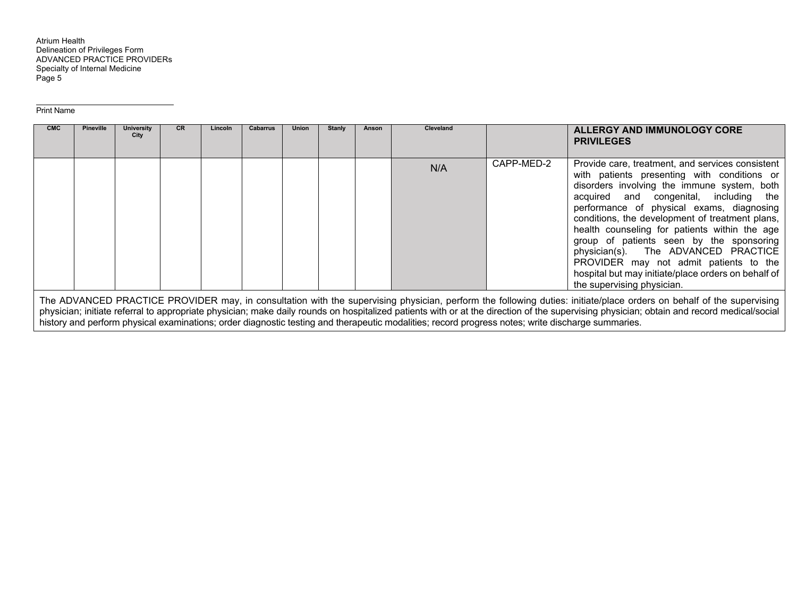Print Name

| <b>CMC</b> | <b>Pineville</b> | University<br>City | <b>CR</b> | Lincoln | <b>Cabarrus</b> | <b>Union</b> | Stanly | Anson | <b>Cleveland</b> |            | ALLERGY AND IMMUNOLOGY CORE<br><b>PRIVILEGES</b>                                                                                                                                                                                                                                                                                                                                                                                                                                                                                                            |
|------------|------------------|--------------------|-----------|---------|-----------------|--------------|--------|-------|------------------|------------|-------------------------------------------------------------------------------------------------------------------------------------------------------------------------------------------------------------------------------------------------------------------------------------------------------------------------------------------------------------------------------------------------------------------------------------------------------------------------------------------------------------------------------------------------------------|
|            |                  |                    |           |         |                 |              |        |       | N/A              | CAPP-MED-2 | Provide care, treatment, and services consistent<br>with patients presenting with conditions or<br>disorders involving the immune system, both<br>acquired and congenital, including the<br>performance of physical exams, diagnosing<br>conditions, the development of treatment plans,<br>health counseling for patients within the age<br>group of patients seen by the sponsoring<br>physician(s). The ADVANCED PRACTICE<br>PROVIDER may not admit patients to the<br>hospital but may initiate/place orders on behalf of<br>the supervising physician. |
|            |                  |                    |           |         |                 |              |        |       |                  |            |                                                                                                                                                                                                                                                                                                                                                                                                                                                                                                                                                             |

The ADVANCED PRACTICE PROVIDER may, in consultation with the supervising physician, perform the following duties: initiate/place orders on behalf of the supervising physician; initiate referral to appropriate physician; make daily rounds on hospitalized patients with or at the direction of the supervising physician; obtain and record medical/social history and perform physical examinations; order diagnostic testing and therapeutic modalities; record progress notes; write discharge summaries.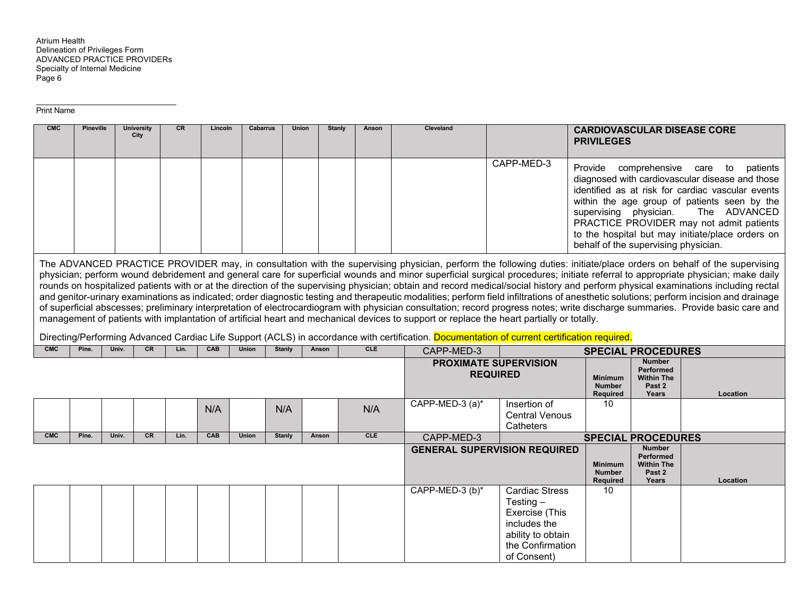| <b>CMC</b> | <b>Pineville</b> |       | <b>University</b> | CR   | Lincoln | <b>Cabarrus</b> |               | <b>Union</b> | <b>Stanly</b><br>Anson | Cleveland                                                                                                                                    |                                     |                                  |                                            | <b>CARDIOVASCULAR DISEASE CORE</b>                                                                                                                                                     |
|------------|------------------|-------|-------------------|------|---------|-----------------|---------------|--------------|------------------------|----------------------------------------------------------------------------------------------------------------------------------------------|-------------------------------------|----------------------------------|--------------------------------------------|----------------------------------------------------------------------------------------------------------------------------------------------------------------------------------------|
|            |                  |       | City              |      |         |                 |               |              |                        |                                                                                                                                              |                                     | <b>PRIVILEGES</b>                |                                            |                                                                                                                                                                                        |
|            |                  |       |                   |      |         |                 |               |              |                        |                                                                                                                                              |                                     |                                  |                                            |                                                                                                                                                                                        |
|            |                  |       |                   |      |         |                 |               |              |                        |                                                                                                                                              | CAPP-MED-3                          | Provide                          | comprehensive care                         | to<br>patients                                                                                                                                                                         |
|            |                  |       |                   |      |         |                 |               |              |                        |                                                                                                                                              |                                     |                                  |                                            | diagnosed with cardiovascular disease and those                                                                                                                                        |
|            |                  |       |                   |      |         |                 |               |              |                        |                                                                                                                                              |                                     |                                  |                                            | identified as at risk for cardiac vascular events                                                                                                                                      |
|            |                  |       |                   |      |         |                 |               |              |                        |                                                                                                                                              |                                     |                                  |                                            | within the age group of patients seen by the                                                                                                                                           |
|            |                  |       |                   |      |         |                 |               |              |                        |                                                                                                                                              |                                     | supervising physician.           |                                            | The ADVANCED<br>PRACTICE PROVIDER may not admit patients                                                                                                                               |
|            |                  |       |                   |      |         |                 |               |              |                        |                                                                                                                                              |                                     |                                  |                                            | to the hospital but may initiate/place orders on                                                                                                                                       |
|            |                  |       |                   |      |         |                 |               |              |                        |                                                                                                                                              |                                     |                                  | behalf of the supervising physician.       |                                                                                                                                                                                        |
|            |                  |       |                   |      |         |                 |               |              |                        |                                                                                                                                              |                                     |                                  |                                            | The ADVANCED PRACTICE PROVIDER may, in consultation with the supervising physician, perform the following duties: initiate/place orders on behalf of the supervising                   |
|            |                  |       |                   |      |         |                 |               |              |                        |                                                                                                                                              |                                     |                                  |                                            | physician; perform wound debridement and general care for superficial wounds and minor superficial surgical procedures; initiate referral to appropriate physician; make daily         |
|            |                  |       |                   |      |         |                 |               |              |                        |                                                                                                                                              |                                     |                                  |                                            | rounds on hospitalized patients with or at the direction of the supervising physician; obtain and record medical/social history and perform physical examinations including rectal     |
|            |                  |       |                   |      |         |                 |               |              |                        |                                                                                                                                              |                                     |                                  |                                            | and genitor-urinary examinations as indicated; order diagnostic testing and therapeutic modalities; perform field infiltrations of anesthetic solutions; perform incision and drainage |
|            |                  |       |                   |      |         |                 |               |              |                        |                                                                                                                                              |                                     |                                  |                                            | of superficial abscesses; preliminary interpretation of electrocardiogram with physician consultation; record progress notes; write discharge summaries. Provide basic care and        |
|            |                  |       |                   |      |         |                 |               |              |                        | management of patients with implantation of artificial heart and mechanical devices to support or replace the heart partially or totally.    |                                     |                                  |                                            |                                                                                                                                                                                        |
|            |                  |       |                   |      |         |                 |               |              |                        |                                                                                                                                              |                                     |                                  |                                            |                                                                                                                                                                                        |
|            |                  |       |                   |      |         |                 |               |              |                        | Directing/Performing Advanced Cardiac Life Support (ACLS) in accordance with certification. Documentation of current certification required. |                                     |                                  |                                            |                                                                                                                                                                                        |
| <b>CMC</b> | Pine.            | Univ. | CR                | Lin. | CAB     | <b>Union</b>    | <b>Stanly</b> | Anson        | <b>CLE</b>             | CAPP-MED-3                                                                                                                                   |                                     |                                  | <b>SPECIAL PROCEDURES</b>                  |                                                                                                                                                                                        |
|            |                  |       |                   |      |         |                 |               |              |                        |                                                                                                                                              | <b>PROXIMATE SUPERVISION</b>        |                                  | <b>Number</b><br><b>Performed</b>          |                                                                                                                                                                                        |
|            |                  |       |                   |      |         |                 |               |              |                        |                                                                                                                                              | <b>REQUIRED</b>                     | <b>Minimum</b>                   | <b>Within The</b>                          |                                                                                                                                                                                        |
|            |                  |       |                   |      |         |                 |               |              |                        |                                                                                                                                              |                                     | <b>Number</b><br><b>Required</b> | Past 2<br>Years                            | Location                                                                                                                                                                               |
|            |                  |       |                   |      |         |                 |               |              |                        | CAPP-MED-3 (a)*                                                                                                                              | Insertion of                        | 10                               |                                            |                                                                                                                                                                                        |
|            |                  |       |                   |      | N/A     |                 | N/A           |              | N/A                    |                                                                                                                                              | <b>Central Venous</b>               |                                  |                                            |                                                                                                                                                                                        |
|            |                  |       |                   |      |         |                 |               |              |                        |                                                                                                                                              | Catheters                           |                                  |                                            |                                                                                                                                                                                        |
| <b>CMC</b> | Pine.            | Univ. | <b>CR</b>         | Lin. | CAB     | <b>Union</b>    | Stanly        | Anson        | <b>CLE</b>             | CAPP-MED-3                                                                                                                                   |                                     |                                  | <b>SPECIAL PROCEDURES</b><br><b>Number</b> |                                                                                                                                                                                        |
|            |                  |       |                   |      |         |                 |               |              |                        |                                                                                                                                              | <b>GENERAL SUPERVISION REQUIRED</b> |                                  | <b>Performed</b>                           |                                                                                                                                                                                        |
|            |                  |       |                   |      |         |                 |               |              |                        |                                                                                                                                              |                                     | <b>Minimum</b><br><b>Number</b>  | <b>Within The</b><br>Past 2                |                                                                                                                                                                                        |
|            |                  |       |                   |      |         |                 |               |              |                        |                                                                                                                                              |                                     | <b>Required</b>                  | Years                                      | Location                                                                                                                                                                               |
|            |                  |       |                   |      |         |                 |               |              |                        | CAPP-MED-3 (b)*                                                                                                                              | <b>Cardiac Stress</b>               | 10                               |                                            |                                                                                                                                                                                        |
|            |                  |       |                   |      |         |                 |               |              |                        |                                                                                                                                              | Testing $-$                         |                                  |                                            |                                                                                                                                                                                        |
|            |                  |       |                   |      |         |                 |               |              |                        |                                                                                                                                              | Exercise (This<br>includes the      |                                  |                                            |                                                                                                                                                                                        |
|            |                  |       |                   |      |         |                 |               |              |                        |                                                                                                                                              | ability to obtain                   |                                  |                                            |                                                                                                                                                                                        |
|            |                  |       |                   |      |         |                 |               |              |                        |                                                                                                                                              | the Confirmation                    |                                  |                                            |                                                                                                                                                                                        |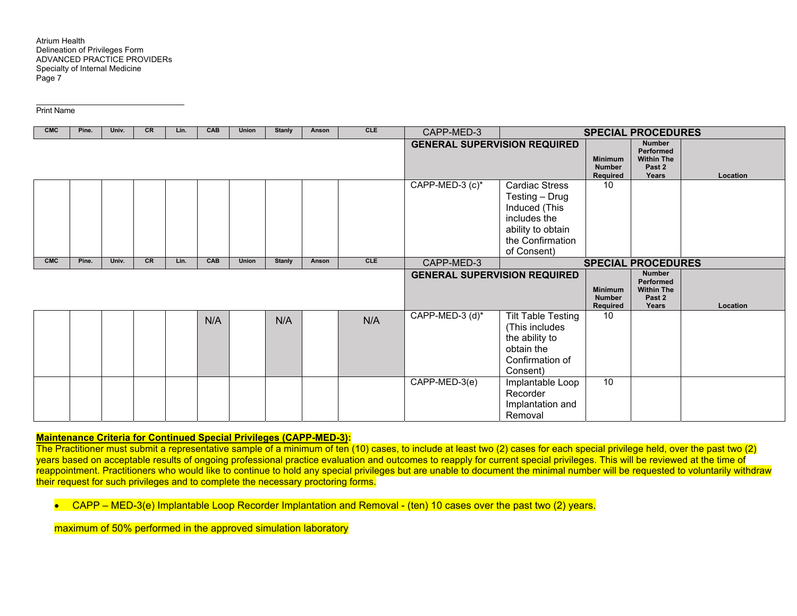Print Name

| <b>CMC</b> | Pine. | Univ. | <b>CR</b> | Lin. | CAB | Union        | Stanly                              | Anson | <b>CLE</b>                                  | CAPP-MED-3                                                         |                                                                                                                                  |                                             | <b>SPECIAL PROCEDURES</b>                                                 |          |
|------------|-------|-------|-----------|------|-----|--------------|-------------------------------------|-------|---------------------------------------------|--------------------------------------------------------------------|----------------------------------------------------------------------------------------------------------------------------------|---------------------------------------------|---------------------------------------------------------------------------|----------|
|            |       |       |           |      |     |              |                                     |       |                                             | <b>GENERAL SUPERVISION REQUIRED</b>                                |                                                                                                                                  | <b>Minimum</b><br><b>Number</b><br>Required | <b>Number</b><br><b>Performed</b><br><b>Within The</b><br>Past 2<br>Years | Location |
|            |       |       |           |      |     |              |                                     |       |                                             | CAPP-MED-3 (c)*                                                    | <b>Cardiac Stress</b><br>Testing - Drug<br>Induced (This<br>includes the<br>ability to obtain<br>the Confirmation<br>of Consent) | 10                                          |                                                                           |          |
| <b>CMC</b> | Pine. | Univ. | CR        | Lin. | CAB | <b>Union</b> | <b>Stanly</b>                       | Anson | CLE                                         | CAPP-MED-3                                                         |                                                                                                                                  |                                             | <b>SPECIAL PROCEDURES</b>                                                 |          |
|            |       |       |           |      |     |              | <b>GENERAL SUPERVISION REQUIRED</b> |       | <b>Minimum</b><br><b>Number</b><br>Required | <b>Number</b><br>Performed<br><b>Within The</b><br>Past 2<br>Years | Location                                                                                                                         |                                             |                                                                           |          |
|            |       |       |           |      | N/A |              | N/A                                 |       | N/A                                         | CAPP-MED-3 (d)*                                                    | <b>Tilt Table Testing</b><br>(This includes<br>the ability to<br>obtain the<br>Confirmation of<br>Consent)                       | 10                                          |                                                                           |          |
|            |       |       |           |      |     |              |                                     |       |                                             | CAPP-MED-3(e)                                                      | Implantable Loop<br>Recorder<br>Implantation and<br>Removal                                                                      | 10                                          |                                                                           |          |

## **Maintenance Criteria for Continued Special Privileges (CAPP-MED-3):**

The Practitioner must submit a representative sample of a minimum of ten (10) cases, to include at least two (2) cases for each special privilege held, over the past two (2) years based on acceptable results of ongoing professional practice evaluation and outcomes to reapply for current special privileges. This will be reviewed at the time of reappointment. Practitioners who would like to continue to hold any special privileges but are unable to document the minimal number will be requested to voluntarily withdraw their request for such privileges and to complete the necessary proctoring forms.

• CAPP – MED-3(e) Implantable Loop Recorder Implantation and Removal - (ten) 10 cases over the past two (2) years.

maximum of 50% performed in the approved simulation laboratory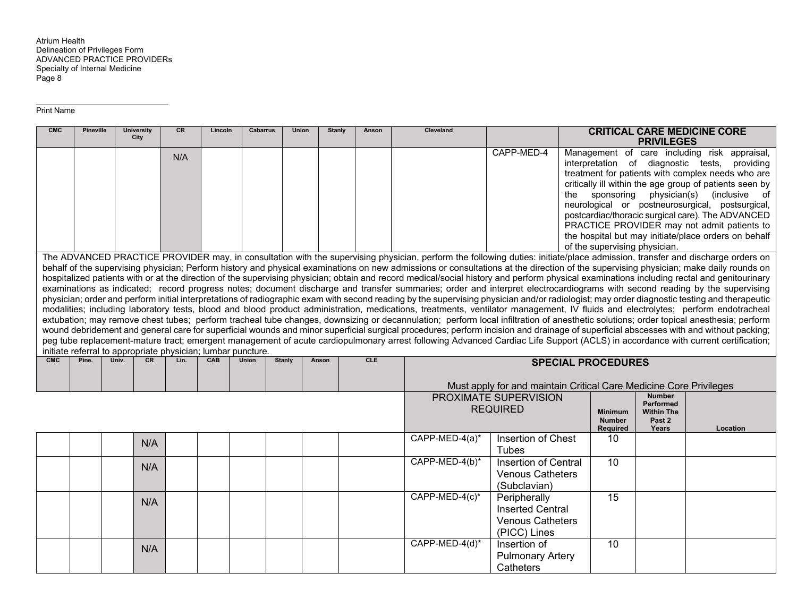| <b>CMC</b> | <b>Pineville</b> | <b>University</b><br>City                                    | CR   | Lincoln | <b>Cabarrus</b> | Union         | <b>Stanly</b> | Anson      | <b>Cleveland</b>                                                                                                                                                                                                                                                                                                                                                                                                                                                                                                                                                                                                                                                                                                                                                                                                                                                                                                                                                                                                                                                                                                                                                                                                                                                                                                                                                                                                                                                                                                          |                                                                                                                                                                                                                                                                                                                                                                                                                                                                                                                                                                                                                                                                                                              |                                             | <b>PRIVILEGES</b>                                                  | <b>CRITICAL CARE MEDICINE CORE</b> |  |  |
|------------|------------------|--------------------------------------------------------------|------|---------|-----------------|---------------|---------------|------------|---------------------------------------------------------------------------------------------------------------------------------------------------------------------------------------------------------------------------------------------------------------------------------------------------------------------------------------------------------------------------------------------------------------------------------------------------------------------------------------------------------------------------------------------------------------------------------------------------------------------------------------------------------------------------------------------------------------------------------------------------------------------------------------------------------------------------------------------------------------------------------------------------------------------------------------------------------------------------------------------------------------------------------------------------------------------------------------------------------------------------------------------------------------------------------------------------------------------------------------------------------------------------------------------------------------------------------------------------------------------------------------------------------------------------------------------------------------------------------------------------------------------------|--------------------------------------------------------------------------------------------------------------------------------------------------------------------------------------------------------------------------------------------------------------------------------------------------------------------------------------------------------------------------------------------------------------------------------------------------------------------------------------------------------------------------------------------------------------------------------------------------------------------------------------------------------------------------------------------------------------|---------------------------------------------|--------------------------------------------------------------------|------------------------------------|--|--|
|            |                  |                                                              | N/A  |         |                 |               |               |            |                                                                                                                                                                                                                                                                                                                                                                                                                                                                                                                                                                                                                                                                                                                                                                                                                                                                                                                                                                                                                                                                                                                                                                                                                                                                                                                                                                                                                                                                                                                           | Management of care including risk appraisal,<br>CAPP-MED-4<br>interpretation of diagnostic tests, providing<br>treatment for patients with complex needs who are<br>critically ill within the age group of patients seen by<br>the sponsoring<br>physician(s) (inclusive of<br>neurological or postneurosurgical, postsurgical,<br>postcardiac/thoracic surgical care). The ADVANCED<br>PRACTICE PROVIDER may not admit patients to<br>the hospital but may initiate/place orders on behalf<br>of the supervising physician.<br>The ADVANCED PRACTICE PROVIDER may, in consultation with the supervising physician, perform the following duties: initiate/place admission, transfer and discharge orders on |                                             |                                                                    |                                    |  |  |
|            |                  |                                                              |      |         |                 |               |               |            |                                                                                                                                                                                                                                                                                                                                                                                                                                                                                                                                                                                                                                                                                                                                                                                                                                                                                                                                                                                                                                                                                                                                                                                                                                                                                                                                                                                                                                                                                                                           |                                                                                                                                                                                                                                                                                                                                                                                                                                                                                                                                                                                                                                                                                                              |                                             |                                                                    |                                    |  |  |
|            |                  | initiate referral to appropriate physician; lumbar puncture. |      |         |                 |               |               |            | behalf of the supervising physician; Perform history and physical examinations on new admissions or consultations at the direction of the supervising physician; make daily rounds on<br>hospitalized patients with or at the direction of the supervising physician; obtain and record medical/social history and perform physical examinations including rectal and genitourinary<br>examinations as indicated; record progress notes; document discharge and transfer summaries; order and interpret electrocardiograms with second reading by the supervising<br>physician; order and perform initial interpretations of radiographic exam with second reading by the supervising physician and/or radiologist; may order diagnostic testing and therapeutic<br>modalities; including laboratory tests, blood and blood product administration, medications, treatments, ventilator management, IV fluids and electrolytes; perform endotracheal<br>extubation; may remove chest tubes; perform tracheal tube changes, downsizing or decannulation; perform local infiltration of anesthetic solutions; order topical anesthesia; perform<br>wound debridement and general care for superficial wounds and minor superficial surgical procedures; perform incision and drainage of superficial abscesses with and without packing;<br>peg tube replacement-mature tract; emergent management of acute cardiopulmonary arrest following Advanced Cardiac Life Support (ACLS) in accordance with current certification; |                                                                                                                                                                                                                                                                                                                                                                                                                                                                                                                                                                                                                                                                                                              |                                             |                                                                    |                                    |  |  |
| CMC        | Pine.            | Univ.<br><b>CR</b>                                           | Lin. | CAB     | <b>Union</b>    | <b>Stanly</b> | Anson         | <b>CLE</b> |                                                                                                                                                                                                                                                                                                                                                                                                                                                                                                                                                                                                                                                                                                                                                                                                                                                                                                                                                                                                                                                                                                                                                                                                                                                                                                                                                                                                                                                                                                                           |                                                                                                                                                                                                                                                                                                                                                                                                                                                                                                                                                                                                                                                                                                              | <b>SPECIAL PROCEDURES</b>                   |                                                                    |                                    |  |  |
|            |                  |                                                              |      |         |                 |               |               |            |                                                                                                                                                                                                                                                                                                                                                                                                                                                                                                                                                                                                                                                                                                                                                                                                                                                                                                                                                                                                                                                                                                                                                                                                                                                                                                                                                                                                                                                                                                                           | Must apply for and maintain Critical Care Medicine Core Privileges                                                                                                                                                                                                                                                                                                                                                                                                                                                                                                                                                                                                                                           |                                             |                                                                    |                                    |  |  |
|            |                  |                                                              |      |         |                 |               |               |            |                                                                                                                                                                                                                                                                                                                                                                                                                                                                                                                                                                                                                                                                                                                                                                                                                                                                                                                                                                                                                                                                                                                                                                                                                                                                                                                                                                                                                                                                                                                           | PROXIMATE SUPERVISION<br><b>REQUIRED</b>                                                                                                                                                                                                                                                                                                                                                                                                                                                                                                                                                                                                                                                                     | <b>Minimum</b><br><b>Number</b><br>Required | <b>Number</b><br>Performed<br><b>Within The</b><br>Past 2<br>Years | Location                           |  |  |
|            |                  | N/A                                                          |      |         |                 |               |               |            | $\overline{CAPP-MED-4(a)^*}$                                                                                                                                                                                                                                                                                                                                                                                                                                                                                                                                                                                                                                                                                                                                                                                                                                                                                                                                                                                                                                                                                                                                                                                                                                                                                                                                                                                                                                                                                              | Insertion of Chest<br><b>Tubes</b>                                                                                                                                                                                                                                                                                                                                                                                                                                                                                                                                                                                                                                                                           | 10                                          |                                                                    |                                    |  |  |
|            |                  | N/A                                                          |      |         |                 |               |               |            | CAPP-MED-4(b)*                                                                                                                                                                                                                                                                                                                                                                                                                                                                                                                                                                                                                                                                                                                                                                                                                                                                                                                                                                                                                                                                                                                                                                                                                                                                                                                                                                                                                                                                                                            | Insertion of Central<br><b>Venous Catheters</b><br>(Subclavian)                                                                                                                                                                                                                                                                                                                                                                                                                                                                                                                                                                                                                                              | 10                                          |                                                                    |                                    |  |  |
|            |                  | N/A                                                          |      |         |                 |               |               |            | CAPP-MED-4(c)*                                                                                                                                                                                                                                                                                                                                                                                                                                                                                                                                                                                                                                                                                                                                                                                                                                                                                                                                                                                                                                                                                                                                                                                                                                                                                                                                                                                                                                                                                                            | Peripherally<br><b>Inserted Central</b><br><b>Venous Catheters</b><br>(PICC) Lines                                                                                                                                                                                                                                                                                                                                                                                                                                                                                                                                                                                                                           | 15                                          |                                                                    |                                    |  |  |
|            |                  | N/A                                                          |      |         |                 |               |               |            | CAPP-MED-4(d)*                                                                                                                                                                                                                                                                                                                                                                                                                                                                                                                                                                                                                                                                                                                                                                                                                                                                                                                                                                                                                                                                                                                                                                                                                                                                                                                                                                                                                                                                                                            | Insertion of<br><b>Pulmonary Artery</b><br>Catheters                                                                                                                                                                                                                                                                                                                                                                                                                                                                                                                                                                                                                                                         | 10                                          |                                                                    |                                    |  |  |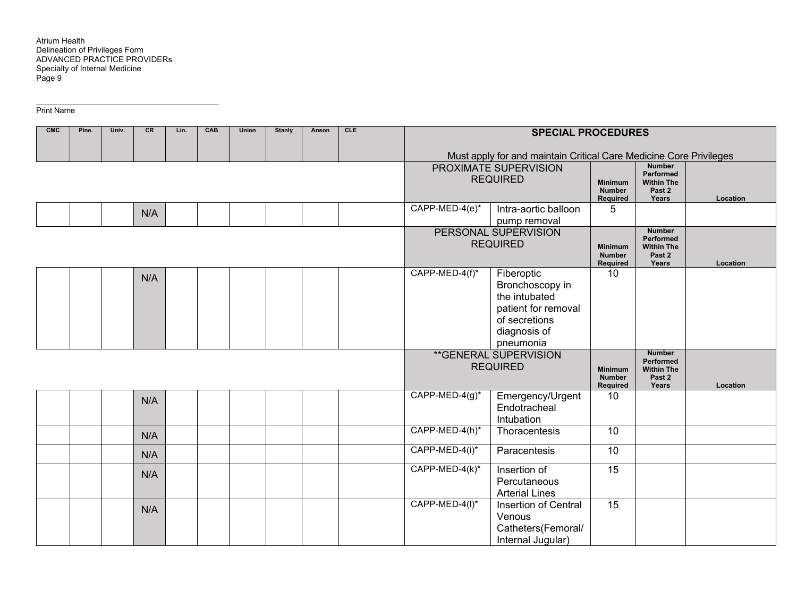| <b>CMC</b> | Pine. | Univ. | <b>CR</b> | Lin. | CAB | <b>Union</b> | <b>Stanly</b> | Anson | <b>CLE</b> |                   | <b>SPECIAL PROCEDURES</b>                                          |                           |                                |          |
|------------|-------|-------|-----------|------|-----|--------------|---------------|-------|------------|-------------------|--------------------------------------------------------------------|---------------------------|--------------------------------|----------|
|            |       |       |           |      |     |              |               |       |            |                   |                                                                    |                           |                                |          |
|            |       |       |           |      |     |              |               |       |            |                   | Must apply for and maintain Critical Care Medicine Core Privileges |                           |                                |          |
|            |       |       |           |      |     |              |               |       |            |                   | PROXIMATE SUPERVISION                                              |                           | <b>Number</b><br>Performed     |          |
|            |       |       |           |      |     |              |               |       |            |                   | <b>REQUIRED</b>                                                    | <b>Minimum</b>            | <b>Within The</b>              |          |
|            |       |       |           |      |     |              |               |       |            |                   |                                                                    | <b>Number</b>             | Past 2                         |          |
|            |       |       |           |      |     |              |               |       |            |                   |                                                                    | Required                  | Years                          | Location |
|            |       |       | N/A       |      |     |              |               |       |            | CAPP-MED-4(e)*    | Intra-aortic balloon                                               | 5                         |                                |          |
|            |       |       |           |      |     |              |               |       |            |                   | pump removal                                                       |                           |                                |          |
|            |       |       |           |      |     |              |               |       |            |                   | PERSONAL SUPERVISION                                               |                           | <b>Number</b><br>Performed     |          |
|            |       |       |           |      |     |              |               |       |            |                   | <b>REQUIRED</b>                                                    | <b>Minimum</b>            | <b>Within The</b>              |          |
|            |       |       |           |      |     |              |               |       |            |                   |                                                                    | <b>Number</b><br>Required | Past 2<br>Years                | Location |
|            |       |       |           |      |     |              |               |       |            | CAPP-MED-4(f)*    | Fiberoptic                                                         | 10                        |                                |          |
|            |       |       | N/A       |      |     |              |               |       |            |                   | Bronchoscopy in                                                    |                           |                                |          |
|            |       |       |           |      |     |              |               |       |            |                   | the intubated                                                      |                           |                                |          |
|            |       |       |           |      |     |              |               |       |            |                   | patient for removal                                                |                           |                                |          |
|            |       |       |           |      |     |              |               |       |            |                   | of secretions                                                      |                           |                                |          |
|            |       |       |           |      |     |              |               |       |            |                   | diagnosis of                                                       |                           |                                |          |
|            |       |       |           |      |     |              |               |       |            |                   | pneumonia                                                          |                           |                                |          |
|            |       |       |           |      |     |              |               |       |            |                   | ** GENERAL SUPERVISION                                             |                           | <b>Number</b>                  |          |
|            |       |       |           |      |     |              |               |       |            |                   | <b>REQUIRED</b>                                                    | <b>Minimum</b>            | Performed<br><b>Within The</b> |          |
|            |       |       |           |      |     |              |               |       |            |                   |                                                                    | <b>Number</b>             | Past 2                         |          |
|            |       |       |           |      |     |              |               |       |            |                   |                                                                    | Required                  | Years                          | Location |
|            |       |       | N/A       |      |     |              |               |       |            | $CAPP-MED-4(g)^*$ | Emergency/Urgent                                                   | 10                        |                                |          |
|            |       |       |           |      |     |              |               |       |            |                   | Endotracheal                                                       |                           |                                |          |
|            |       |       |           |      |     |              |               |       |            |                   | Intubation                                                         |                           |                                |          |
|            |       |       | N/A       |      |     |              |               |       |            | CAPP-MED-4(h)*    | Thoracentesis                                                      | 10                        |                                |          |
|            |       |       |           |      |     |              |               |       |            | CAPP-MED-4(i)*    | Paracentesis                                                       | 10                        |                                |          |
|            |       |       | N/A       |      |     |              |               |       |            |                   |                                                                    |                           |                                |          |
|            |       |       | N/A       |      |     |              |               |       |            | CAPP-MED-4(k)*    | Insertion of                                                       | 15                        |                                |          |
|            |       |       |           |      |     |              |               |       |            |                   | Percutaneous                                                       |                           |                                |          |
|            |       |       |           |      |     |              |               |       |            |                   | <b>Arterial Lines</b>                                              |                           |                                |          |
|            |       |       | N/A       |      |     |              |               |       |            | CAPP-MED-4(I)*    | Insertion of Central                                               | 15                        |                                |          |
|            |       |       |           |      |     |              |               |       |            |                   | Venous                                                             |                           |                                |          |
|            |       |       |           |      |     |              |               |       |            |                   | Catheters(Femoral/                                                 |                           |                                |          |
|            |       |       |           |      |     |              |               |       |            |                   | Internal Jugular)                                                  |                           |                                |          |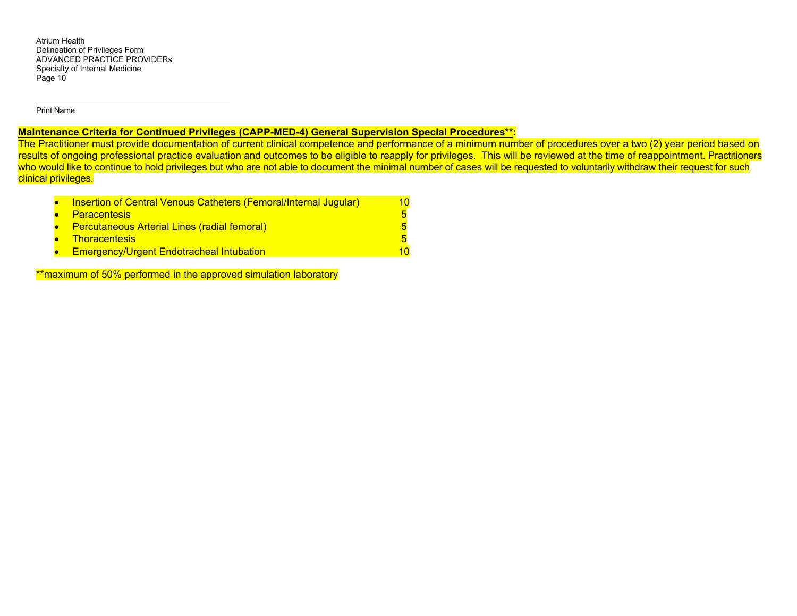Print Name

# **Maintenance Criteria for Continued Privileges (CAPP-MED-4) General Supervision Special Procedures\*\*:**

The Practitioner must provide documentation of current clinical competence and performance of a minimum number of procedures over a two (2) year period based on results of ongoing professional practice evaluation and outcomes to be eligible to reapply for privileges. This will be reviewed at the time of reappointment. Practitioners who would like to continue to hold privileges but who are not able to document the minimal number of cases will be requested to voluntarily withdraw their request for such clinical privileges.

| <b>Insertion of Central Venous Catheters (Femoral/Internal Jugular)</b> | 10. |
|-------------------------------------------------------------------------|-----|
| • Paracentesis                                                          |     |
| • Percutaneous Arterial Lines (radial femoral)                          |     |
| • Thoracentesis                                                         |     |
| <b>Emergency/Urgent Endotracheal Intubation</b>                         |     |

\*\*maximum of 50% performed in the approved simulation laboratory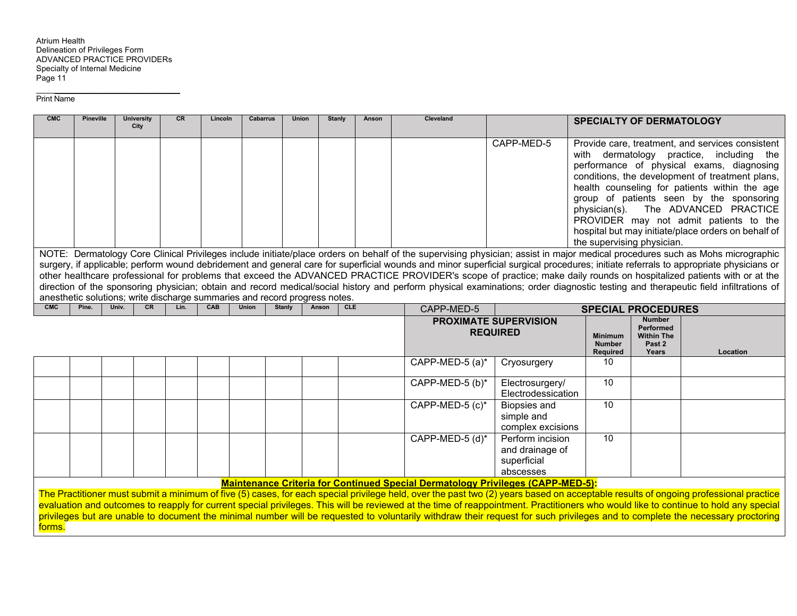| <b>CMC</b> | <b>Pineville</b> | <b>University</b><br>City                                                  | CR   | Lincoln | <b>Cabarrus</b> | <b>Union</b>  | <b>Stanly</b> | Anson      | Cleveland                                                                              |                                                                 | <b>SPECIALTY OF DERMATOLOGY</b>                                                                                                                                                                                                                                                                                                                                                                                                                                                                                                                                                                                                                                                                                                                                                                                                                                                                                                                                                                                     |                                                                           |                                                                                                                                                                                                                                                                                                                                                                                                                                                                                                                                                             |  |
|------------|------------------|----------------------------------------------------------------------------|------|---------|-----------------|---------------|---------------|------------|----------------------------------------------------------------------------------------|-----------------------------------------------------------------|---------------------------------------------------------------------------------------------------------------------------------------------------------------------------------------------------------------------------------------------------------------------------------------------------------------------------------------------------------------------------------------------------------------------------------------------------------------------------------------------------------------------------------------------------------------------------------------------------------------------------------------------------------------------------------------------------------------------------------------------------------------------------------------------------------------------------------------------------------------------------------------------------------------------------------------------------------------------------------------------------------------------|---------------------------------------------------------------------------|-------------------------------------------------------------------------------------------------------------------------------------------------------------------------------------------------------------------------------------------------------------------------------------------------------------------------------------------------------------------------------------------------------------------------------------------------------------------------------------------------------------------------------------------------------------|--|
|            |                  |                                                                            |      |         |                 |               |               |            |                                                                                        | CAPP-MED-5                                                      | Provide care, treatment, and services consistent<br>with dermatology practice, including the<br>performance of physical exams, diagnosing<br>conditions, the development of treatment plans,<br>health counseling for patients within the age<br>group of patients seen by the sponsoring<br>The ADVANCED PRACTICE<br>physician(s).<br>PROVIDER may not admit patients to the<br>hospital but may initiate/place orders on behalf of<br>the supervising physician.<br>NOTE: Dermatology Core Clinical Privileges include initiate/place orders on behalf of the supervising physician; assist in major medical procedures such as Mohs micrographic<br>surgery, if applicable; perform wound debridement and general care for superficial wounds and minor superficial surgical procedures; initiate referrals to appropriate physicians or<br>other healthcare professional for problems that exceed the ADVANCED PRACTICE PROVIDER's scope of practice; make daily rounds on hospitalized patients with or at the |                                                                           |                                                                                                                                                                                                                                                                                                                                                                                                                                                                                                                                                             |  |
|            |                  |                                                                            |      |         |                 |               |               |            |                                                                                        |                                                                 |                                                                                                                                                                                                                                                                                                                                                                                                                                                                                                                                                                                                                                                                                                                                                                                                                                                                                                                                                                                                                     |                                                                           |                                                                                                                                                                                                                                                                                                                                                                                                                                                                                                                                                             |  |
|            |                  |                                                                            |      |         |                 |               |               |            |                                                                                        |                                                                 |                                                                                                                                                                                                                                                                                                                                                                                                                                                                                                                                                                                                                                                                                                                                                                                                                                                                                                                                                                                                                     |                                                                           | direction of the sponsoring physician; obtain and record medical/social history and perform physical examinations; order diagnostic testing and therapeutic field infiltrations of                                                                                                                                                                                                                                                                                                                                                                          |  |
| CMC        | Pine.            | anesthetic solutions; write discharge summaries and record progress notes. |      |         |                 |               |               | <b>CLE</b> |                                                                                        |                                                                 |                                                                                                                                                                                                                                                                                                                                                                                                                                                                                                                                                                                                                                                                                                                                                                                                                                                                                                                                                                                                                     |                                                                           |                                                                                                                                                                                                                                                                                                                                                                                                                                                                                                                                                             |  |
|            |                  | Univ.<br><b>CR</b>                                                         | Lin. | CAB     | Union           | <b>Stanly</b> | Anson         |            | CAPP-MED-5                                                                             |                                                                 | <b>SPECIAL PROCEDURES</b>                                                                                                                                                                                                                                                                                                                                                                                                                                                                                                                                                                                                                                                                                                                                                                                                                                                                                                                                                                                           |                                                                           |                                                                                                                                                                                                                                                                                                                                                                                                                                                                                                                                                             |  |
|            |                  |                                                                            |      |         |                 |               |               |            |                                                                                        | <b>PROXIMATE SUPERVISION</b><br><b>REQUIRED</b>                 | <b>Minimum</b><br><b>Number</b><br>Required                                                                                                                                                                                                                                                                                                                                                                                                                                                                                                                                                                                                                                                                                                                                                                                                                                                                                                                                                                         | <b>Number</b><br><b>Performed</b><br><b>Within The</b><br>Past 2<br>Years | Location                                                                                                                                                                                                                                                                                                                                                                                                                                                                                                                                                    |  |
|            |                  |                                                                            |      |         |                 |               |               |            | CAPP-MED-5 (a)*                                                                        | Cryosurgery                                                     | 10                                                                                                                                                                                                                                                                                                                                                                                                                                                                                                                                                                                                                                                                                                                                                                                                                                                                                                                                                                                                                  |                                                                           |                                                                                                                                                                                                                                                                                                                                                                                                                                                                                                                                                             |  |
|            |                  |                                                                            |      |         |                 |               |               |            | CAPP-MED-5 (b)*                                                                        | Electrosurgery/<br>Electrodessication                           | 10                                                                                                                                                                                                                                                                                                                                                                                                                                                                                                                                                                                                                                                                                                                                                                                                                                                                                                                                                                                                                  |                                                                           |                                                                                                                                                                                                                                                                                                                                                                                                                                                                                                                                                             |  |
|            |                  |                                                                            |      |         |                 |               |               |            | CAPP-MED-5 (c)*                                                                        | <b>Biopsies and</b><br>simple and<br>complex excisions          | 10                                                                                                                                                                                                                                                                                                                                                                                                                                                                                                                                                                                                                                                                                                                                                                                                                                                                                                                                                                                                                  |                                                                           |                                                                                                                                                                                                                                                                                                                                                                                                                                                                                                                                                             |  |
|            |                  |                                                                            |      |         |                 |               |               |            | CAPP-MED-5 (d)*                                                                        | Perform incision<br>and drainage of<br>superficial<br>abscesses | 10                                                                                                                                                                                                                                                                                                                                                                                                                                                                                                                                                                                                                                                                                                                                                                                                                                                                                                                                                                                                                  |                                                                           |                                                                                                                                                                                                                                                                                                                                                                                                                                                                                                                                                             |  |
|            |                  |                                                                            |      |         |                 |               |               |            | <b>Maintenance Criteria for Continued Special Dermatology Privileges (CAPP-MED-5):</b> |                                                                 |                                                                                                                                                                                                                                                                                                                                                                                                                                                                                                                                                                                                                                                                                                                                                                                                                                                                                                                                                                                                                     |                                                                           |                                                                                                                                                                                                                                                                                                                                                                                                                                                                                                                                                             |  |
| forms.     |                  |                                                                            |      |         |                 |               |               |            |                                                                                        |                                                                 |                                                                                                                                                                                                                                                                                                                                                                                                                                                                                                                                                                                                                                                                                                                                                                                                                                                                                                                                                                                                                     |                                                                           | The Practitioner must submit a minimum of five (5) cases, for each special privilege held, over the past two (2) years based on acceptable results of ongoing professional practice<br>evaluation and outcomes to reapply for current special privileges. This will be reviewed at the time of reappointment. Practitioners who would like to continue to hold any special<br>privileges but are unable to document the minimal number will be requested to voluntarily withdraw their request for such privileges and to complete the necessary proctoring |  |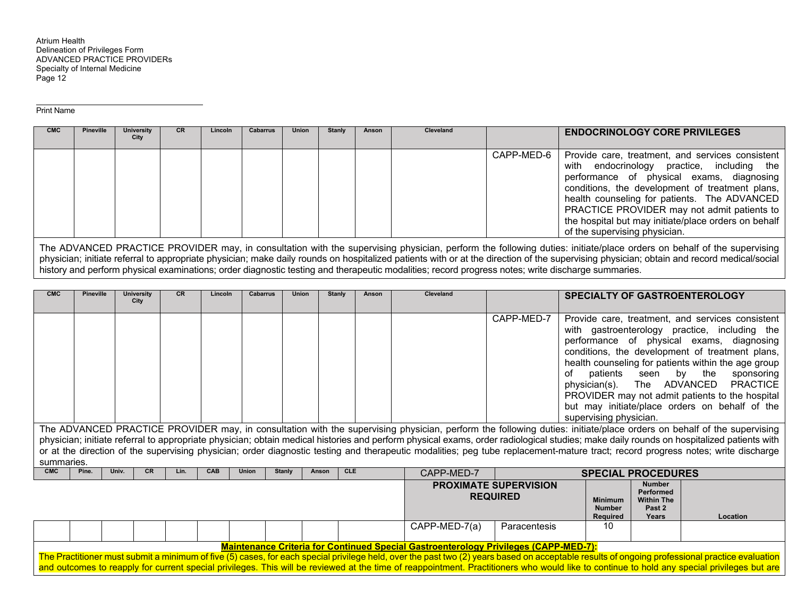Print Name

| <b>CMC</b> | <b>Pineville</b> | University<br>City | <b>CR</b> | Lincoln | Cabarrus | <b>Union</b> | Stanly | Anson | Cleveland |              | <b>ENDOCRINOLOGY CORE PRIVILEGES</b>                                                                                                                                                                                                                                                                                                                                                   |
|------------|------------------|--------------------|-----------|---------|----------|--------------|--------|-------|-----------|--------------|----------------------------------------------------------------------------------------------------------------------------------------------------------------------------------------------------------------------------------------------------------------------------------------------------------------------------------------------------------------------------------------|
|            |                  |                    |           |         |          |              |        |       |           | CAPP-MED-6 1 | Provide care, treatment, and services consistent<br>with endocrinology practice, including the<br>performance of physical exams, diagnosing<br>conditions, the development of treatment plans,<br>health counseling for patients. The ADVANCED<br>PRACTICE PROVIDER may not admit patients to<br>the hospital but may initiate/place orders on behalf<br>of the supervising physician. |

The ADVANCED PRACTICE PROVIDER may, in consultation with the supervising physician, perform the following duties: initiate/place orders on behalf of the supervising physician; initiate referral to appropriate physician; make daily rounds on hospitalized patients with or at the direction of the supervising physician; obtain and record medical/social history and perform physical examinations; order diagnostic testing and therapeutic modalities; record progress notes; write discharge summaries.

| <b>CMC</b>                                                                                                                                                                                                                                                                                                                                                                                                                                                                                                                                                        | <b>Pineville</b> | <b>University</b><br>City | <b>CR</b> | Lincoln    | <b>Cabarrus</b> | <b>Union</b>  | Stanly | Anson      |  | Cleveland  |                                                 | <b>SPECIALTY OF GASTROENTEROLOGY</b> |                                                 |                                                                                                                                                                                                                                                                                                                                                                                                      |            |
|-------------------------------------------------------------------------------------------------------------------------------------------------------------------------------------------------------------------------------------------------------------------------------------------------------------------------------------------------------------------------------------------------------------------------------------------------------------------------------------------------------------------------------------------------------------------|------------------|---------------------------|-----------|------------|-----------------|---------------|--------|------------|--|------------|-------------------------------------------------|--------------------------------------|-------------------------------------------------|------------------------------------------------------------------------------------------------------------------------------------------------------------------------------------------------------------------------------------------------------------------------------------------------------------------------------------------------------------------------------------------------------|------------|
|                                                                                                                                                                                                                                                                                                                                                                                                                                                                                                                                                                   |                  |                           |           |            |                 |               |        |            |  |            | CAPP-MED-7                                      | of<br>supervising physician.         | patients seen by the                            | Provide care, treatment, and services consistent<br>with gastroenterology practice, including the<br>performance of physical exams, diagnosing<br>conditions, the development of treatment plans,<br>health counseling for patients within the age group<br>physician(s). The ADVANCED PRACTICE<br>PROVIDER may not admit patients to the hospital<br>but may initiate/place orders on behalf of the | sponsoring |
| The ADVANCED PRACTICE PROVIDER may, in consultation with the supervising physician, perform the following duties: initiate/place orders on behalf of the supervising<br>physician; initiate referral to appropriate physician; obtain medical histories and perform physical exams, order radiological studies; make daily rounds on hospitalized patients with<br>or at the direction of the supervising physician; order diagnostic testing and therapeutic modalities; peg tube replacement-mature tract; record progress notes; write discharge<br>summaries. |                  |                           |           |            |                 |               |        |            |  |            |                                                 |                                      |                                                 |                                                                                                                                                                                                                                                                                                                                                                                                      |            |
| <b>CMC</b>                                                                                                                                                                                                                                                                                                                                                                                                                                                                                                                                                        | Pine.            | Univ.<br>CR.              | Lin.      | <b>CAB</b> | Union           | <b>Stanly</b> | Anson  | <b>CLE</b> |  | CAPP-MED-7 |                                                 |                                      | <b>SPECIAL PROCEDURES</b>                       |                                                                                                                                                                                                                                                                                                                                                                                                      |            |
|                                                                                                                                                                                                                                                                                                                                                                                                                                                                                                                                                                   |                  |                           |           |            |                 |               |        |            |  |            | <b>PROXIMATE SUPERVISION</b><br><b>REQUIRED</b> | <b>Minimum</b>                       | <b>Number</b><br>Performed<br><b>Within The</b> |                                                                                                                                                                                                                                                                                                                                                                                                      |            |

|  |  |  |  |  |               | INLWUINLD                                                                                   | <b>Minimum</b><br><b>Number</b><br>Required | <b>Within The</b><br>Past 2<br>Years | Location                                                                                                                                                                                           |
|--|--|--|--|--|---------------|---------------------------------------------------------------------------------------------|---------------------------------------------|--------------------------------------|----------------------------------------------------------------------------------------------------------------------------------------------------------------------------------------------------|
|  |  |  |  |  | CAPP-MED-7(a) | Paracentesis                                                                                | 10                                          |                                      |                                                                                                                                                                                                    |
|  |  |  |  |  |               |                                                                                             |                                             |                                      |                                                                                                                                                                                                    |
|  |  |  |  |  |               | <b>Maintenance Criteria for Continued Special Gastroenterology Privileges (CAPP-MED-7):</b> |                                             |                                      |                                                                                                                                                                                                    |
|  |  |  |  |  |               |                                                                                             |                                             |                                      | The Presidiance must quipmit a minimum of five $(E)$ cases, for each anogial privilege hold, quarthe neet two $(2)$ years becad an essentable requite of angeing professional progrises evaluation |

The Practitioner must submit a minimum of five (5) cases, for each special privilege held, over the past two (2) years based on acceptable results of ongoing professional practice evaluation and outcomes to reapply for current special privileges. This will be reviewed at the time of reappointment. Practitioners who would like to continue to hold any special privileges but are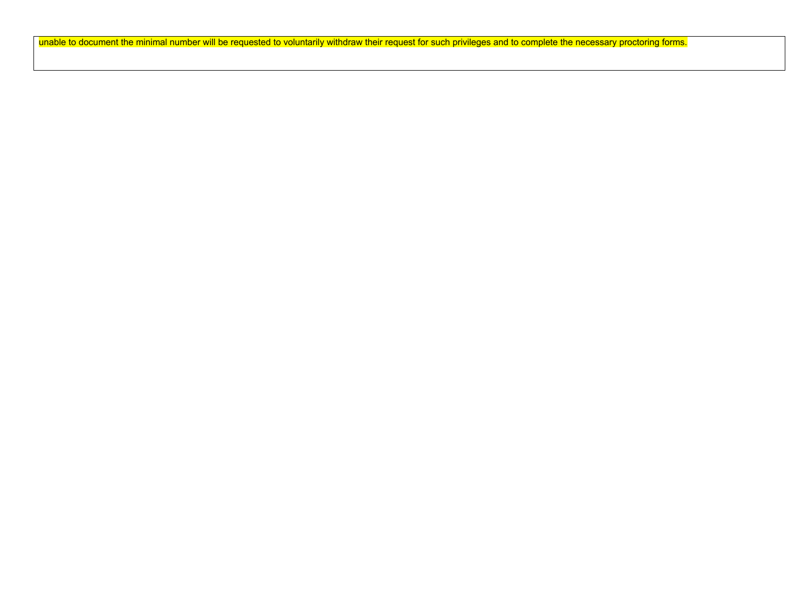unable to document the minimal number will be requested to voluntarily withdraw their request for such privileges and to complete the necessary proctoring forms.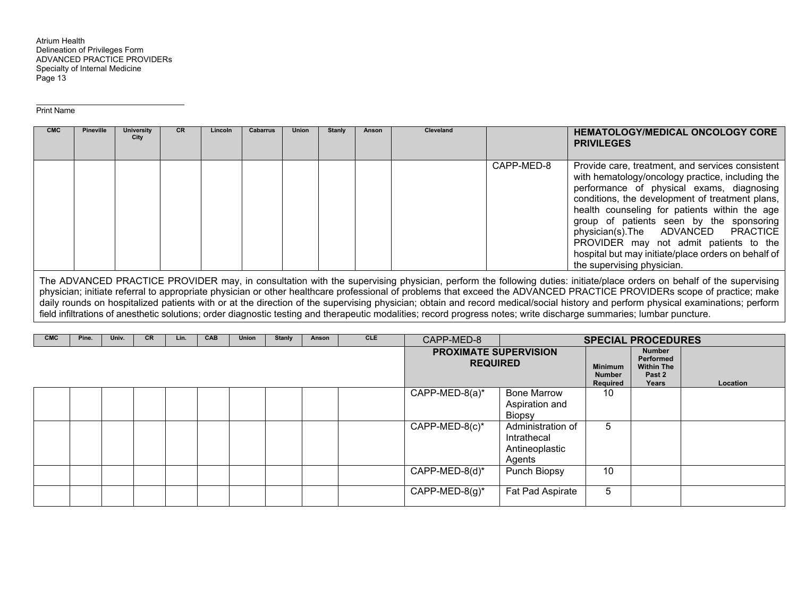Print Name

| CAPP-MED-8                 | <b>CMC</b> | <b>Pineville</b> | University<br>City | <b>CR</b> | Lincoln | <b>Cabarrus</b> | <b>Union</b> | <b>Stanly</b> | Anson | <b>Cleveland</b> | <b>HEMATOLOGY/MEDICAL ONCOLOGY CORE</b><br><b>PRIVILEGES</b>                                                                                                                                                                                                                                                                                                                                                                              |
|----------------------------|------------|------------------|--------------------|-----------|---------|-----------------|--------------|---------------|-------|------------------|-------------------------------------------------------------------------------------------------------------------------------------------------------------------------------------------------------------------------------------------------------------------------------------------------------------------------------------------------------------------------------------------------------------------------------------------|
| the supervising physician. |            |                  |                    |           |         |                 |              |               |       |                  | Provide care, treatment, and services consistent<br>with hematology/oncology practice, including the<br>performance of physical exams, diagnosing<br>conditions, the development of treatment plans,<br>health counseling for patients within the age<br>group of patients seen by the sponsoring<br>physician(s). The ADVANCED PRACTICE<br>PROVIDER may not admit patients to the<br>hospital but may initiate/place orders on behalf of |

The ADVANCED PRACTICE PROVIDER may, in consultation with the supervising physician, perform the following duties: initiate/place orders on behalf of the supervising physician; initiate referral to appropriate physician or other healthcare professional of problems that exceed the ADVANCED PRACTICE PROVIDERs scope of practice; make daily rounds on hospitalized patients with or at the direction of the supervising physician; obtain and record medical/social history and perform physical examinations; perform field infiltrations of anesthetic solutions; order diagnostic testing and therapeutic modalities; record progress notes; write discharge summaries; lumbar puncture.

| <b>CMC</b> | Pine. | Univ. | <b>CR</b> | Lin. | <b>CAB</b> | <b>Union</b> | <b>Stanly</b> | Anson | <b>CLE</b> | CAPP-MED-8                                      |                                                              |                                             | <b>SPECIAL PROCEDURES</b>                                   |          |
|------------|-------|-------|-----------|------|------------|--------------|---------------|-------|------------|-------------------------------------------------|--------------------------------------------------------------|---------------------------------------------|-------------------------------------------------------------|----------|
|            |       |       |           |      |            |              |               |       |            | <b>PROXIMATE SUPERVISION</b><br><b>REQUIRED</b> |                                                              | <b>Minimum</b><br><b>Number</b><br>Required | Number<br>Performed<br><b>Within The</b><br>Past 2<br>Years | Location |
|            |       |       |           |      |            |              |               |       |            | CAPP-MED-8(a)*                                  | <b>Bone Marrow</b><br>Aspiration and<br><b>Biopsy</b>        | 10                                          |                                                             |          |
|            |       |       |           |      |            |              |               |       |            | $CAPP-MED-8(c)*$                                | Administration of<br>Intrathecal<br>Antineoplastic<br>Agents | b                                           |                                                             |          |
|            |       |       |           |      |            |              |               |       |            | $CAPP-MED-8(d)^*$                               | Punch Biopsy                                                 | 10                                          |                                                             |          |
|            |       |       |           |      |            |              |               |       |            | $CAPP-MED-8(g)^*$                               | Fat Pad Aspirate                                             | 5                                           |                                                             |          |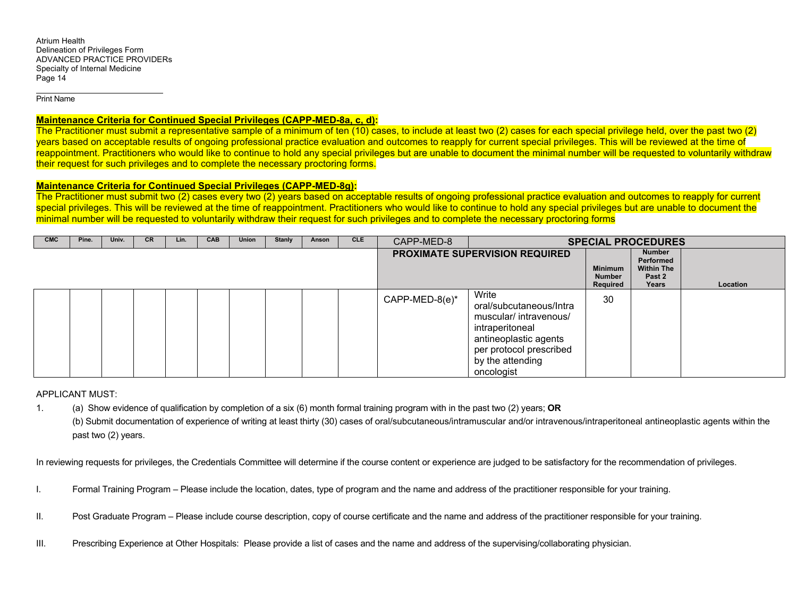Print Name

## **Maintenance Criteria for Continued Special Privileges (CAPP-MED-8a, c, d):**

The Practitioner must submit a representative sample of a minimum of ten (10) cases, to include at least two (2) cases for each special privilege held, over the past two (2) years based on acceptable results of ongoing professional practice evaluation and outcomes to reapply for current special privileges. This will be reviewed at the time of reappointment. Practitioners who would like to continue to hold any special privileges but are unable to document the minimal number will be requested to voluntarily withdraw their request for such privileges and to complete the necessary proctoring forms.

### **Maintenance Criteria for Continued Special Privileges (CAPP-MED-8g):**

The Practitioner must submit two (2) cases every two (2) years based on acceptable results of ongoing professional practice evaluation and outcomes to reapply for current special privileges. This will be reviewed at the time of reappointment. Practitioners who would like to continue to hold any special privileges but are unable to document the minimal number will be requested to voluntarily withdraw their request for such privileges and to complete the necessary proctoring forms

| <b>CMC</b> | Pine. | Univ. | <b>CR</b> | Lin. | CAB | <b>Union</b> | <b>Stanly</b> | Anson | <b>CLE</b> | CAPP-MED-8     |                                                                                                                                                                     |                                                    | <b>SPECIAL PROCEDURES</b>                                   |          |
|------------|-------|-------|-----------|------|-----|--------------|---------------|-------|------------|----------------|---------------------------------------------------------------------------------------------------------------------------------------------------------------------|----------------------------------------------------|-------------------------------------------------------------|----------|
|            |       |       |           |      |     |              |               |       |            |                | PROXIMATE SUPERVISION REQUIRED                                                                                                                                      | <b>Minimum</b><br><b>Number</b><br><b>Required</b> | Number<br>Performed<br><b>Within The</b><br>Past 2<br>Years | Location |
|            |       |       |           |      |     |              |               |       |            | CAPP-MED-8(e)* | Write<br>oral/subcutaneous/Intra<br>muscular/ intravenous/<br>intraperitoneal<br>antineoplastic agents<br>per protocol prescribed<br>by the attending<br>oncologist | 30                                                 |                                                             |          |

APPLICANT MUST:

1. (a) Show evidence of qualification by completion of a six (6) month formal training program with in the past two (2) years; **OR**  (b) Submit documentation of experience of writing at least thirty (30) cases of oral/subcutaneous/intramuscular and/or intravenous/intraperitoneal antineoplastic agents within the past two (2) years.

In reviewing requests for privileges, the Credentials Committee will determine if the course content or experience are judged to be satisfactory for the recommendation of privileges.

- I. Formal Training Program Please include the location, dates, type of program and the name and address of the practitioner responsible for your training.
- II. Post Graduate Program Please include course description, copy of course certificate and the name and address of the practitioner responsible for your training.
- III. Prescribing Experience at Other Hospitals: Please provide a list of cases and the name and address of the supervising/collaborating physician.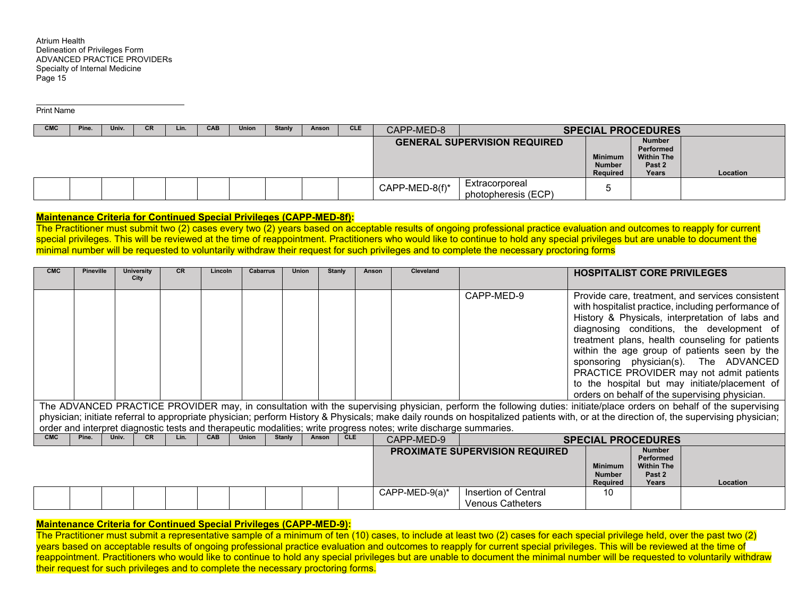Print Name

| <b>CMC</b> | Pine. | Univ. | СR | Lin. | <b>CAB</b> | <b>Union</b> | <b>Stanly</b> | Anson | CLE. | CAPP-MED-8     |                                       |                                             | <b>SPECIAL PROCEDURES</b>                                          |          |
|------------|-------|-------|----|------|------------|--------------|---------------|-------|------|----------------|---------------------------------------|---------------------------------------------|--------------------------------------------------------------------|----------|
|            |       |       |    |      |            |              |               |       |      |                | <b>GENERAL SUPERVISION REQUIRED</b>   | <b>Minimum</b><br><b>Number</b><br>Required | <b>Number</b><br>Performed<br><b>Within The</b><br>Past 2<br>Years | Location |
|            |       |       |    |      |            |              |               |       |      | CAPP-MED-8(f)* | Extracorporeal<br>photopheresis (ECP) |                                             |                                                                    |          |

## **Maintenance Criteria for Continued Special Privileges (CAPP-MED-8f):**

The Practitioner must submit two (2) cases every two (2) years based on acceptable results of ongoing professional practice evaluation and outcomes to reapply for current special privileges. This will be reviewed at the time of reappointment. Practitioners who would like to continue to hold any special privileges but are unable to document the minimal number will be requested to voluntarily withdraw their request for such privileges and to complete the necessary proctoring forms

| <b>CMC</b> | <b>Pineville</b> | <b>University</b><br>City | <b>CR</b> | Lincoln    | Cabarrus     | <b>Union</b>  | <b>Stanly</b> | Anson      | Cleveland                                                                                                         |                                                                                                                                                                                         | <b>HOSPITALIST CORE PRIVILEGES</b>          |                                                                           |                                                                                                                                                                                                                                                                                                                                                                                                                                                                                                    |
|------------|------------------|---------------------------|-----------|------------|--------------|---------------|---------------|------------|-------------------------------------------------------------------------------------------------------------------|-----------------------------------------------------------------------------------------------------------------------------------------------------------------------------------------|---------------------------------------------|---------------------------------------------------------------------------|----------------------------------------------------------------------------------------------------------------------------------------------------------------------------------------------------------------------------------------------------------------------------------------------------------------------------------------------------------------------------------------------------------------------------------------------------------------------------------------------------|
|            |                  |                           |           |            |              |               |               |            |                                                                                                                   | CAPP-MED-9<br>The ADVANCED PRACTICE PROVIDER may, in consultation with the supervising physician, perform the following duties: initiate/place orders on behalf of the supervising      |                                             |                                                                           | Provide care, treatment, and services consistent<br>with hospitalist practice, including performance of<br>History & Physicals, interpretation of labs and<br>diagnosing conditions, the development of<br>treatment plans, health counseling for patients<br>within the age group of patients seen by the<br>sponsoring physician(s). The ADVANCED<br>PRACTICE PROVIDER may not admit patients<br>to the hospital but may initiate/placement of<br>orders on behalf of the supervising physician. |
|            |                  |                           |           |            |              |               |               |            |                                                                                                                   | physician; initiate referral to appropriate physician; perform History & Physicals; make daily rounds on hospitalized patients with, or at the direction of, the supervising physician; |                                             |                                                                           |                                                                                                                                                                                                                                                                                                                                                                                                                                                                                                    |
|            |                  |                           |           |            |              |               |               |            | order and interpret diagnostic tests and therapeutic modalities; write progress notes; write discharge summaries. |                                                                                                                                                                                         |                                             |                                                                           |                                                                                                                                                                                                                                                                                                                                                                                                                                                                                                    |
| <b>CMC</b> | Pine.            | Univ.<br><b>CR</b>        | Lin.      | <b>CAB</b> | <b>Union</b> | <b>Stanly</b> | Anson         | <b>CLE</b> | CAPP-MED-9                                                                                                        |                                                                                                                                                                                         | <b>SPECIAL PROCEDURES</b>                   |                                                                           |                                                                                                                                                                                                                                                                                                                                                                                                                                                                                                    |
|            |                  |                           |           |            |              |               |               |            |                                                                                                                   | PROXIMATE SUPERVISION REQUIRED                                                                                                                                                          | <b>Minimum</b><br><b>Number</b><br>Required | <b>Number</b><br><b>Performed</b><br><b>Within The</b><br>Past 2<br>Years | Location                                                                                                                                                                                                                                                                                                                                                                                                                                                                                           |
|            |                  |                           |           |            |              |               |               |            | CAPP-MED-9 $(a)^*$                                                                                                | Insertion of Central<br><b>Venous Catheters</b>                                                                                                                                         | 10                                          |                                                                           |                                                                                                                                                                                                                                                                                                                                                                                                                                                                                                    |

#### **Maintenance Criteria for Continued Special Privileges (CAPP-MED-9):**

The Practitioner must submit a representative sample of a minimum of ten (10) cases, to include at least two (2) cases for each special privilege held, over the past two (2) years based on acceptable results of ongoing professional practice evaluation and outcomes to reapply for current special privileges. This will be reviewed at the time of reappointment. Practitioners who would like to continue to hold any special privileges but are unable to document the minimal number will be requested to voluntarily withdraw their request for such privileges and to complete the necessary proctoring forms.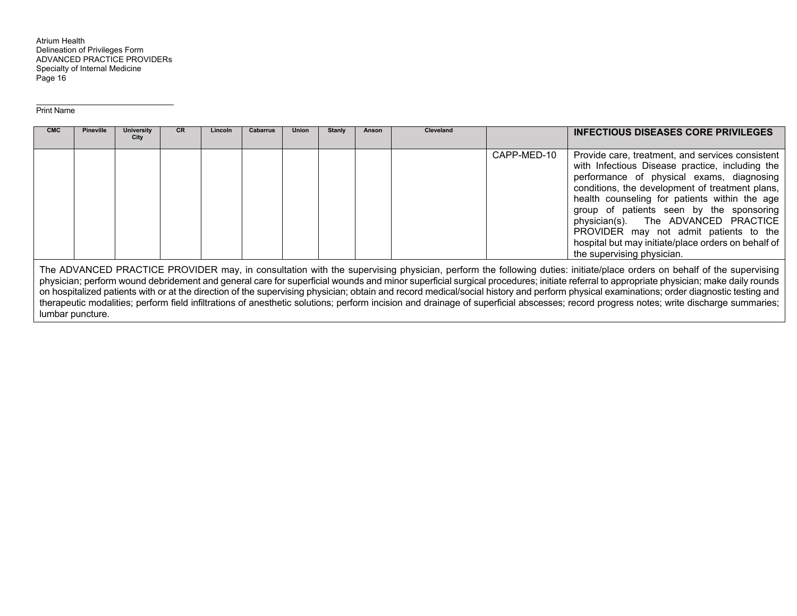#### Print Name

lumbar puncture.

| <b>CMC</b> | <b>Pineville</b> | University<br>City | CR | Lincoln | <b>Cabarrus</b> | <b>Union</b> | <b>Stanly</b> | Anson | Cleveland |             | <b>INFECTIOUS DISEASES CORE PRIVILEGES</b>                                                                                                                                                                                                                                                                                                                                                                                                                                                                                                                |
|------------|------------------|--------------------|----|---------|-----------------|--------------|---------------|-------|-----------|-------------|-----------------------------------------------------------------------------------------------------------------------------------------------------------------------------------------------------------------------------------------------------------------------------------------------------------------------------------------------------------------------------------------------------------------------------------------------------------------------------------------------------------------------------------------------------------|
|            |                  |                    |    |         |                 |              |               |       |           | CAPP-MED-10 | Provide care, treatment, and services consistent<br>with Infectious Disease practice, including the<br>performance of physical exams, diagnosing<br>conditions, the development of treatment plans,<br>health counseling for patients within the age<br>group of patients seen by the sponsoring<br>physician(s). The ADVANCED PRACTICE<br>PROVIDER may not admit patients to the<br>hospital but may initiate/place orders on behalf of<br>the supervising physician.                                                                                    |
|            |                  |                    |    |         |                 |              |               |       |           |             | The ADVANCED PRACTICE PROVIDER may, in consultation with the supervising physician, perform the following duties: initiate/place orders on behalf of the supervising<br>physician; perform wound debridement and general care for superficial wounds and minor superficial surgical procedures; initiate referral to appropriate physician; make daily rounds<br>on hospitalized patients with or at the direction of the supervising physician; obtain and record medical/social history and perform physical examinations; order diagnostic testing and |

therapeutic modalities; perform field infiltrations of anesthetic solutions; perform incision and drainage of superficial abscesses; record progress notes; write discharge summaries;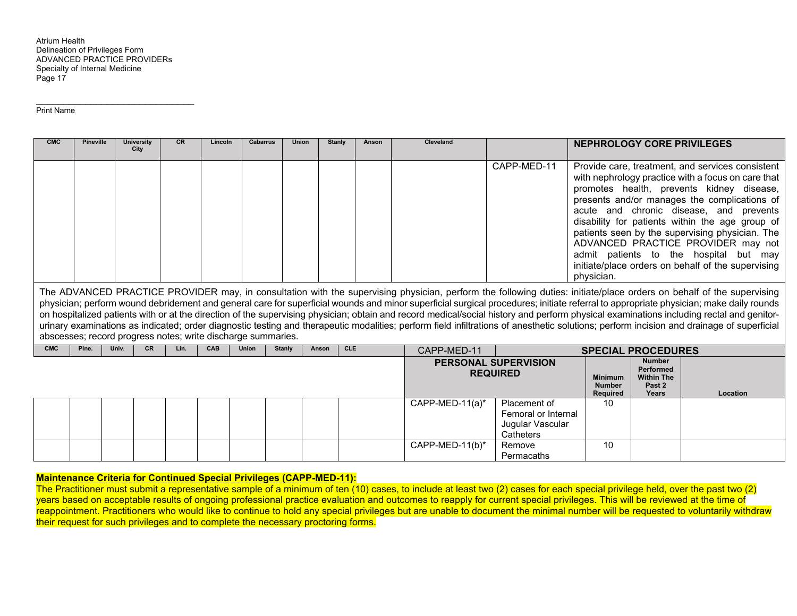$\overline{\phantom{a}}$  , and the set of the set of the set of the set of the set of the set of the set of the set of the set of the set of the set of the set of the set of the set of the set of the set of the set of the set of the s

Print Name

| <b>CMC</b> | <b>Pineville</b> |       | <b>University</b><br>City | <b>CR</b> | Lincoln                                                      | Cabarrus     | Union         | <b>Stanly</b> | Anson      | <b>Cleveland</b> |                                                | <b>NEPHROLOGY CORE PRIVILEGES</b>                  |                                                                                      |                                                                                                                                                                                                                                                                                                                                                                                                                                                                                                                                                                                                                                                                                                                                                        |
|------------|------------------|-------|---------------------------|-----------|--------------------------------------------------------------|--------------|---------------|---------------|------------|------------------|------------------------------------------------|----------------------------------------------------|--------------------------------------------------------------------------------------|--------------------------------------------------------------------------------------------------------------------------------------------------------------------------------------------------------------------------------------------------------------------------------------------------------------------------------------------------------------------------------------------------------------------------------------------------------------------------------------------------------------------------------------------------------------------------------------------------------------------------------------------------------------------------------------------------------------------------------------------------------|
|            |                  |       |                           |           |                                                              |              |               |               |            |                  | CAPP-MED-11                                    | physician.                                         |                                                                                      | Provide care, treatment, and services consistent<br>with nephrology practice with a focus on care that<br>promotes health, prevents kidney disease,<br>presents and/or manages the complications of<br>acute and chronic disease, and prevents<br>disability for patients within the age group of<br>patients seen by the supervising physician. The<br>ADVANCED PRACTICE PROVIDER may not<br>admit patients to the hospital but may<br>initiate/place orders on behalf of the supervising                                                                                                                                                                                                                                                             |
|            |                  |       |                           |           | abscesses; record progress notes; write discharge summaries. |              |               |               |            |                  |                                                |                                                    |                                                                                      | The ADVANCED PRACTICE PROVIDER may, in consultation with the supervising physician, perform the following duties: initiate/place orders on behalf of the supervising<br>physician; perform wound debridement and general care for superficial wounds and minor superficial surgical procedures; initiate referral to appropriate physician; make daily rounds<br>on hospitalized patients with or at the direction of the supervising physician; obtain and record medical/social history and perform physical examinations including rectal and genitor-<br>urinary examinations as indicated; order diagnostic testing and therapeutic modalities; perform field infiltrations of anesthetic solutions; perform incision and drainage of superficial |
| <b>CMC</b> | Pine.            | Univ. | <b>CR</b>                 | Lin.      | <b>CAB</b>                                                   | <b>Union</b> | <b>Stanly</b> | Anson         | <b>CLE</b> | CAPP-MED-11      |                                                | <b>SPECIAL PROCEDURES</b>                          |                                                                                      |                                                                                                                                                                                                                                                                                                                                                                                                                                                                                                                                                                                                                                                                                                                                                        |
|            |                  |       |                           |           |                                                              |              |               |               |            |                  | <b>PERSONAL SUPERVISION</b><br><b>REQUIRED</b> | <b>Minimum</b><br><b>Number</b><br><b>Required</b> | <b>Number</b><br><b>Performed</b><br><b>Within The</b><br>Past <sub>2</sub><br>Years | Location                                                                                                                                                                                                                                                                                                                                                                                                                                                                                                                                                                                                                                                                                                                                               |
|            |                  |       |                           |           |                                                              |              |               |               |            | CAPP-MED-11(a)*  | Placement of<br>Femoral or Internal            | 10                                                 |                                                                                      |                                                                                                                                                                                                                                                                                                                                                                                                                                                                                                                                                                                                                                                                                                                                                        |

| CAPP-MED-11(b)*<br>10<br>Remove<br>Permacaths |  |  |  |  |  |  | Jugular Vascular<br>Catheters |  |  |
|-----------------------------------------------|--|--|--|--|--|--|-------------------------------|--|--|
|                                               |  |  |  |  |  |  |                               |  |  |

## **Maintenance Criteria for Continued Special Privileges (CAPP-MED-11):**

The Practitioner must submit a representative sample of a minimum of ten (10) cases, to include at least two (2) cases for each special privilege held, over the past two (2) years based on acceptable results of ongoing professional practice evaluation and outcomes to reapply for current special privileges. This will be reviewed at the time of reappointment. Practitioners who would like to continue to hold any special privileges but are unable to document the minimal number will be requested to voluntarily withdraw their request for such privileges and to complete the necessary proctoring forms.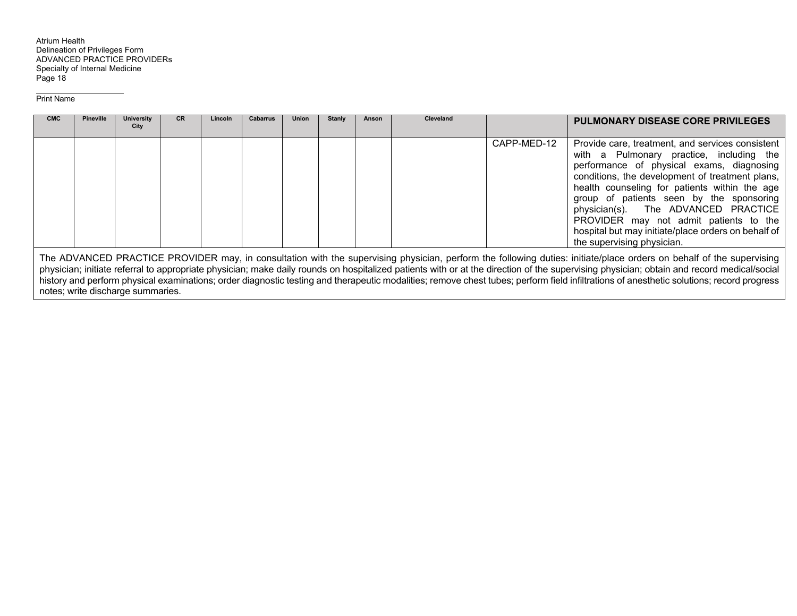#### Print Name

| <b>CMC</b> | <b>Pineville</b> | University | <b>CR</b> | Lincoln | <b>Cabarrus</b> | <b>Union</b> | Stanly | Anson | <b>Cleveland</b> |             | <b>PULMONARY DISEASE CORE PRIVILEGES</b>                                                                                                                                                                                                                                                                                                                                                                                                                        |
|------------|------------------|------------|-----------|---------|-----------------|--------------|--------|-------|------------------|-------------|-----------------------------------------------------------------------------------------------------------------------------------------------------------------------------------------------------------------------------------------------------------------------------------------------------------------------------------------------------------------------------------------------------------------------------------------------------------------|
|            |                  | City       |           |         |                 |              |        |       |                  |             |                                                                                                                                                                                                                                                                                                                                                                                                                                                                 |
|            |                  |            |           |         |                 |              |        |       |                  | CAPP-MED-12 | Provide care, treatment, and services consistent<br>with a Pulmonary practice, including the<br>performance of physical exams, diagnosing<br>conditions, the development of treatment plans,<br>health counseling for patients within the age<br>group of patients seen by the sponsoring<br>physician(s). The ADVANCED PRACTICE<br>PROVIDER may not admit patients to the<br>hospital but may initiate/place orders on behalf of<br>the supervising physician. |
|            |                  |            |           |         |                 |              |        |       |                  |             | The ADVANCED PRACTICE PROVIDER may, in consultation with the supervising physician, perform the following duties: initiate/place orders on behalf of the supervising                                                                                                                                                                                                                                                                                            |

physician; initiate referral to appropriate physician; make daily rounds on hospitalized patients with or at the direction of the supervising physician; obtain and record medical/social history and perform physical examinations; order diagnostic testing and therapeutic modalities; remove chest tubes; perform field infiltrations of anesthetic solutions; record progress notes; write discharge summaries.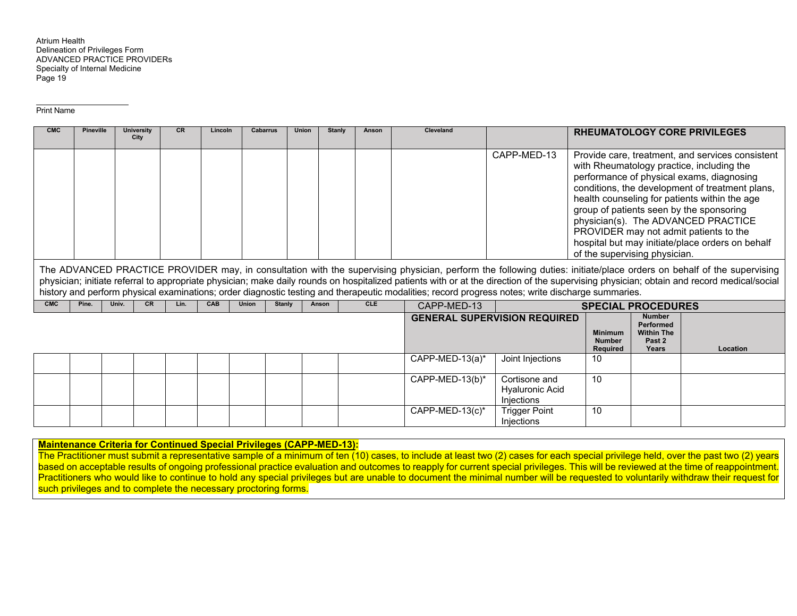#### Print Name

| <b>CMC</b> | <b>Pineville</b> |       | <b>University</b> | <b>CR</b> | Lincoln | <b>Cabarrus</b> | Union  |       | <b>Stanly</b> | Anson      | Cleveland                                                                                                                                         |                                                       |                                                    |                                                                           | <b>RHEUMATOLOGY CORE PRIVILEGES</b>                                                                                                                                                                                                                                                                                                                                                                                             |
|------------|------------------|-------|-------------------|-----------|---------|-----------------|--------|-------|---------------|------------|---------------------------------------------------------------------------------------------------------------------------------------------------|-------------------------------------------------------|----------------------------------------------------|---------------------------------------------------------------------------|---------------------------------------------------------------------------------------------------------------------------------------------------------------------------------------------------------------------------------------------------------------------------------------------------------------------------------------------------------------------------------------------------------------------------------|
|            |                  |       | City              |           |         |                 |        |       |               |            |                                                                                                                                                   |                                                       |                                                    |                                                                           |                                                                                                                                                                                                                                                                                                                                                                                                                                 |
|            |                  |       |                   |           |         |                 |        |       |               |            |                                                                                                                                                   | CAPP-MED-13                                           | of the supervising physician.                      |                                                                           | Provide care, treatment, and services consistent<br>with Rheumatology practice, including the<br>performance of physical exams, diagnosing<br>conditions, the development of treatment plans,<br>health counseling for patients within the age<br>group of patients seen by the sponsoring<br>physician(s). The ADVANCED PRACTICE<br>PROVIDER may not admit patients to the<br>hospital but may initiate/place orders on behalf |
|            |                  |       |                   |           |         |                 |        |       |               |            | history and perform physical examinations; order diagnostic testing and therapeutic modalities; record progress notes; write discharge summaries. |                                                       |                                                    |                                                                           | The ADVANCED PRACTICE PROVIDER may, in consultation with the supervising physician, perform the following duties: initiate/place orders on behalf of the supervising<br>physician; initiate referral to appropriate physician; make daily rounds on hospitalized patients with or at the direction of the supervising physician; obtain and record medical/social                                                               |
| <b>CMC</b> | Pine.            | Univ. | <b>CR</b>         | Lin.      | CAB     | <b>Union</b>    | Stanly | Anson |               | <b>CLE</b> | CAPP-MED-13                                                                                                                                       |                                                       | <b>SPECIAL PROCEDURES</b>                          |                                                                           |                                                                                                                                                                                                                                                                                                                                                                                                                                 |
|            |                  |       |                   |           |         |                 |        |       |               |            |                                                                                                                                                   | <b>GENERAL SUPERVISION REQUIRED</b>                   | <b>Minimum</b><br><b>Number</b><br><b>Required</b> | <b>Number</b><br><b>Performed</b><br><b>Within The</b><br>Past 2<br>Years | Location                                                                                                                                                                                                                                                                                                                                                                                                                        |
|            |                  |       |                   |           |         |                 |        |       |               |            | CAPP-MED-13(a)*                                                                                                                                   | Joint Injections                                      | 10                                                 |                                                                           |                                                                                                                                                                                                                                                                                                                                                                                                                                 |
|            |                  |       |                   |           |         |                 |        |       |               |            | CAPP-MED-13(b)*                                                                                                                                   | Cortisone and<br><b>Hyaluronic Acid</b><br>Injections | 10                                                 |                                                                           |                                                                                                                                                                                                                                                                                                                                                                                                                                 |
|            |                  |       |                   |           |         |                 |        |       |               |            | CAPP-MED-13 $(c)^*$                                                                                                                               | <b>Trigger Point</b>                                  | 10                                                 |                                                                           |                                                                                                                                                                                                                                                                                                                                                                                                                                 |

## **Maintenance Criteria for Continued Special Privileges (CAPP-MED-13):**

The Practitioner must submit a representative sample of a minimum of ten (10) cases, to include at least two (2) cases for each special privilege held, over the past two (2) years based on acceptable results of ongoing professional practice evaluation and outcomes to reapply for current special privileges. This will be reviewed at the time of reappointment. Practitioners who would like to continue to hold any special privileges but are unable to document the minimal number will be requested to voluntarily withdraw their request for such privileges and to complete the necessary proctoring forms.

Injections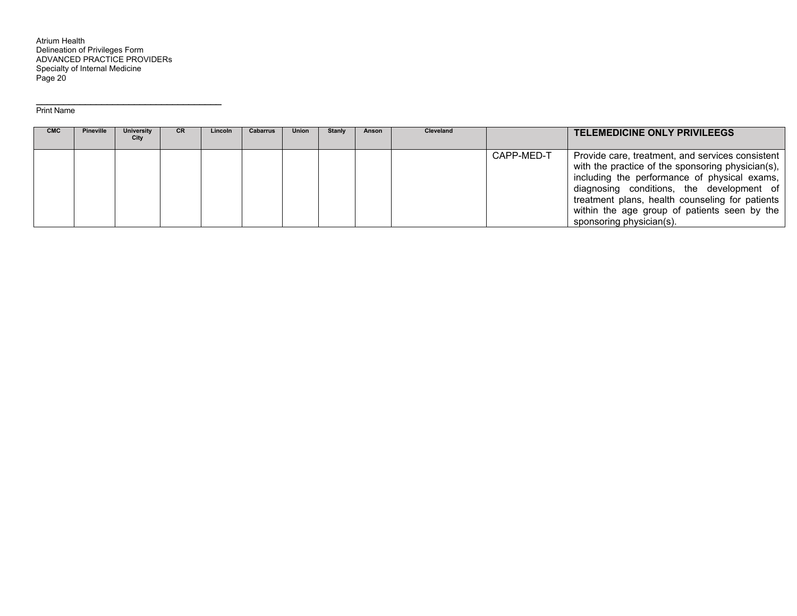| <b>CMC</b> | <b>Pineville</b> | University<br>City | <b>CR</b> | Lincoln | Cabarrus | Union | Stanly | Anson | <b>Cleveland</b> |            | <b>TELEMEDICINE ONLY PRIVILEEGS</b>                                                                                                                                                                                                                                                                                               |
|------------|------------------|--------------------|-----------|---------|----------|-------|--------|-------|------------------|------------|-----------------------------------------------------------------------------------------------------------------------------------------------------------------------------------------------------------------------------------------------------------------------------------------------------------------------------------|
|            |                  |                    |           |         |          |       |        |       |                  | CAPP-MED-T | Provide care, treatment, and services consistent<br>with the practice of the sponsoring physician(s),<br>including the performance of physical exams,<br>diagnosing conditions, the development of<br>treatment plans, health counseling for patients<br>within the age group of patients seen by the<br>sponsoring physician(s). |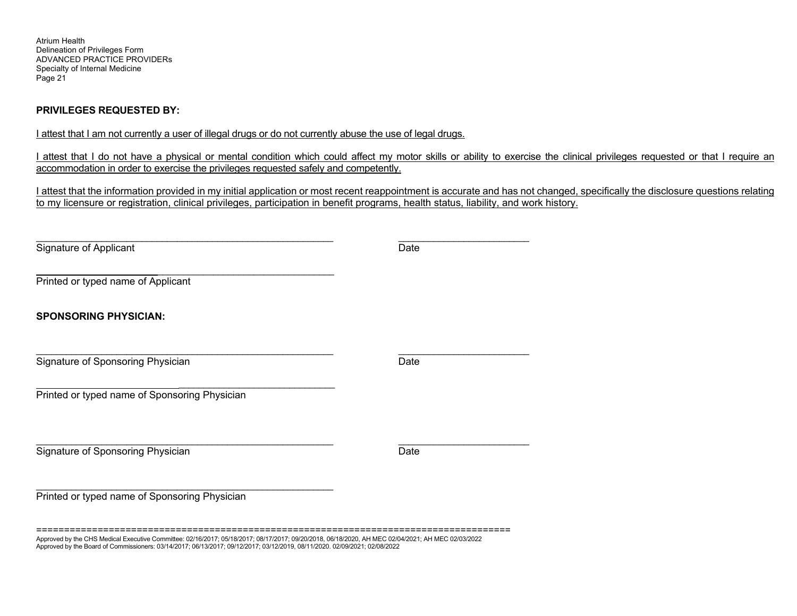## **PRIVILEGES REQUESTED BY:**

I attest that I am not currently a user of illegal drugs or do not currently abuse the use of legal drugs.

I attest that I do not have a physical or mental condition which could affect my motor skills or ability to exercise the clinical privileges requested or that I require an accommodation in order to exercise the privileges requested safely and competently.

I attest that the information provided in my initial application or most recent reappointment is accurate and has not changed, specifically the disclosure questions relating to my licensure or registration, clinical privileges, participation in benefit programs, health status, liability, and work history.

| Date |
|------|
|      |
|      |
| Date |
|      |
| Date |
|      |
|      |

===================================================================================== Approved by the CHS Medical Executive Committee: 02/16/2017; 05/18/2017; 08/17/2017; 09/20/2018, 06/18/2020, AH MEC 02/04/2021; AH MEC 02/03/2022 Approved by the Board of Commissioners: 03/14/2017; 06/13/2017; 09/12/2017; 03/12/2019, 08/11/2020. 02/09/2021; 02/08/2022